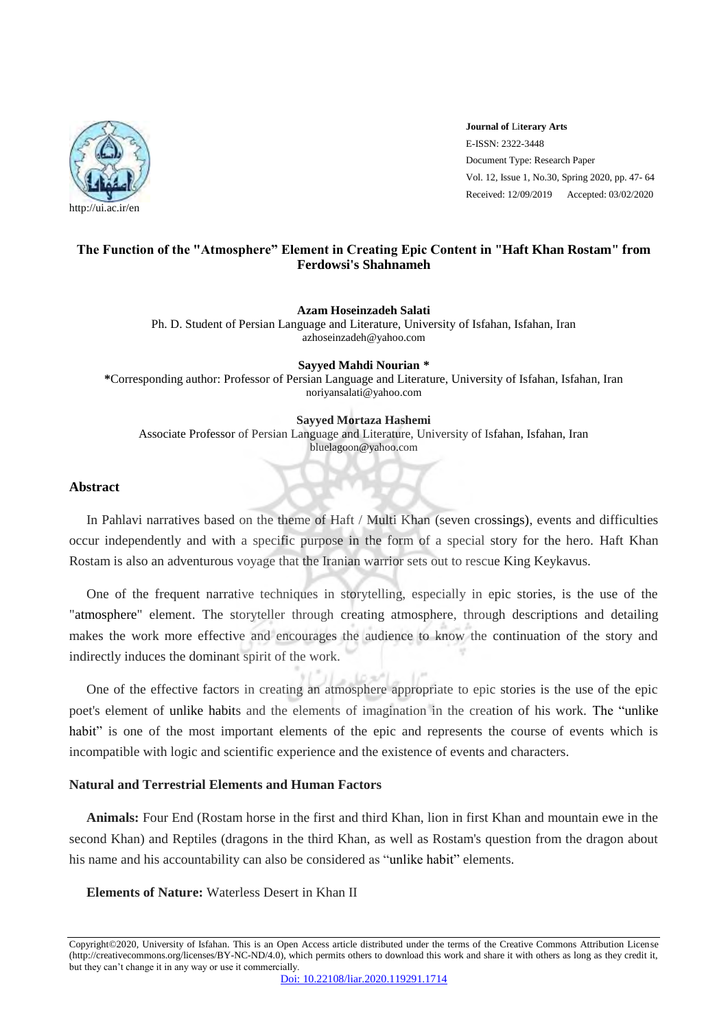

**Journal of** Li**terary Arts** E-ISSN: 2322-3448 Document Type: Research Paper Vol. 12, Issue 1, No.30, Spring 2020, pp. 47- 64 Received: 12/09/2019 Accepted: 03/02/2020

#### **The Function of the "Atmosphere" Element in Creating Epic Content in "Haft Khan Rostam" from Ferdowsi's Shahnameh**

**Azam Hoseinzadeh Salati** 

Ph. D. Student of Persian Language and Literature, University of Isfahan, Isfahan, Iran azhoseinzadeh@yahoo.com

**Sayyed Mahdi Nourian \* \***Corresponding author: Professor of Persian Language and Literature, University of Isfahan, Isfahan, Iran noriyansalati@yahoo.com

**Sayyed Mortaza Hashemi**  Associate Professor of Persian Language and Literature, University of Isfahan, Isfahan, Iran bluelagoon@yahoo.com

#### **Abstract**

In Pahlavi narratives based on the theme of Haft / Multi Khan (seven crossings), events and difficulties occur independently and with a specific purpose in the form of a special story for the hero. Haft Khan Rostam is also an adventurous voyage that the Iranian warrior sets out to rescue King Keykavus.

One of the frequent narrative techniques in storytelling, especially in epic stories, is the use of the "atmosphere" element. The storyteller through creating atmosphere, through descriptions and detailing makes the work more effective and encourages the audience to know the continuation of the story and indirectly induces the dominant spirit of the work.

One of the effective factors in creating an atmosphere appropriate to epic stories is the use of the epic poet's element of unlike habits and the elements of imagination in the creation of his work. The "unlike habit" is one of the most important elements of the epic and represents the course of events which is incompatible with logic and scientific experience and the existence of events and characters.

#### **Natural and Terrestrial Elements and Human Factors**

**Animals:** Four End (Rostam horse in the first and third Khan, lion in first Khan and mountain ewe in the second Khan) and Reptiles (dragons in the third Khan, as well as Rostam's question from the dragon about his name and his accountability can also be considered as "unlike habit" elements.

**Elements of Nature:** Waterless Desert in Khan II

Copyright©2020, University of Isfahan. This is an Open Access article distributed under the terms of the Creative Commons Attribution License (http://creativecommons.org/licenses/BY-NC-ND/4.0), which permits others to download this work and share it with others as long as they credit it, but they can't change it in any way or use it commercially.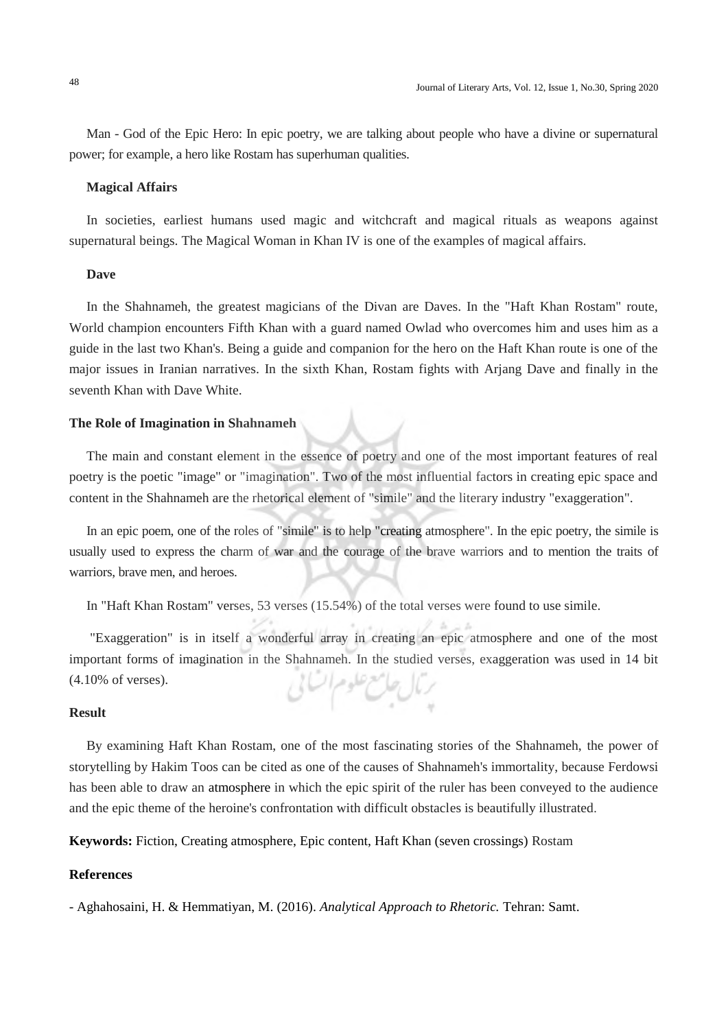Man - God of the Epic Hero: In epic poetry, we are talking about people who have a divine or supernatural power; for example, a hero like Rostam has superhuman qualities.

#### **Magical Affairs**

In societies, earliest humans used magic and witchcraft and magical rituals as weapons against supernatural beings. The Magical Woman in Khan IV is one of the examples of magical affairs.

#### **Dave**

In the Shahnameh, the greatest magicians of the Divan are Daves. In the "Haft Khan Rostam" route, World champion encounters Fifth Khan with a guard named Owlad who overcomes him and uses him as a guide in the last two Khan's. Being a guide and companion for the hero on the Haft Khan route is one of the major issues in Iranian narratives. In the sixth Khan, Rostam fights with Arjang Dave and finally in the seventh Khan with Dave White.

#### **The Role of Imagination in Shahnameh**

The main and constant element in the essence of poetry and one of the most important features of real poetry is the poetic "image" or "imagination". Two of the most influential factors in creating epic space and content in the Shahnameh are the rhetorical element of "simile" and the literary industry "exaggeration".

In an epic poem, one of the roles of "simile" is to help "creating atmosphere". In the epic poetry, the simile is usually used to express the charm of war and the courage of the brave warriors and to mention the traits of warriors, brave men, and heroes.

In "Haft Khan Rostam" verses, 53 verses (15.54%) of the total verses were found to use simile.

"Exaggeration" is in itself a wonderful array in creating an epic atmosphere and one of the most important forms of imagination in the Shahnameh. In the studied verses, exaggeration was used in 14 bit (4.10% of verses). رمال حامع علوم أكساني

#### **Result**

By examining Haft Khan Rostam, one of the most fascinating stories of the Shahnameh, the power of storytelling by Hakim Toos can be cited as one of the causes of Shahnameh's immortality, because Ferdowsi has been able to draw an atmosphere in which the epic spirit of the ruler has been conveyed to the audience and the epic theme of the heroine's confrontation with difficult obstacles is beautifully illustrated.

**Keywords:** Fiction, Creating atmosphere, Epic content, Haft Khan (seven crossings) Rostam

#### **References**

- Aghahosaini, H. & Hemmatiyan, M. (2016). *Analytical Approach to Rhetoric.* Tehran: Samt.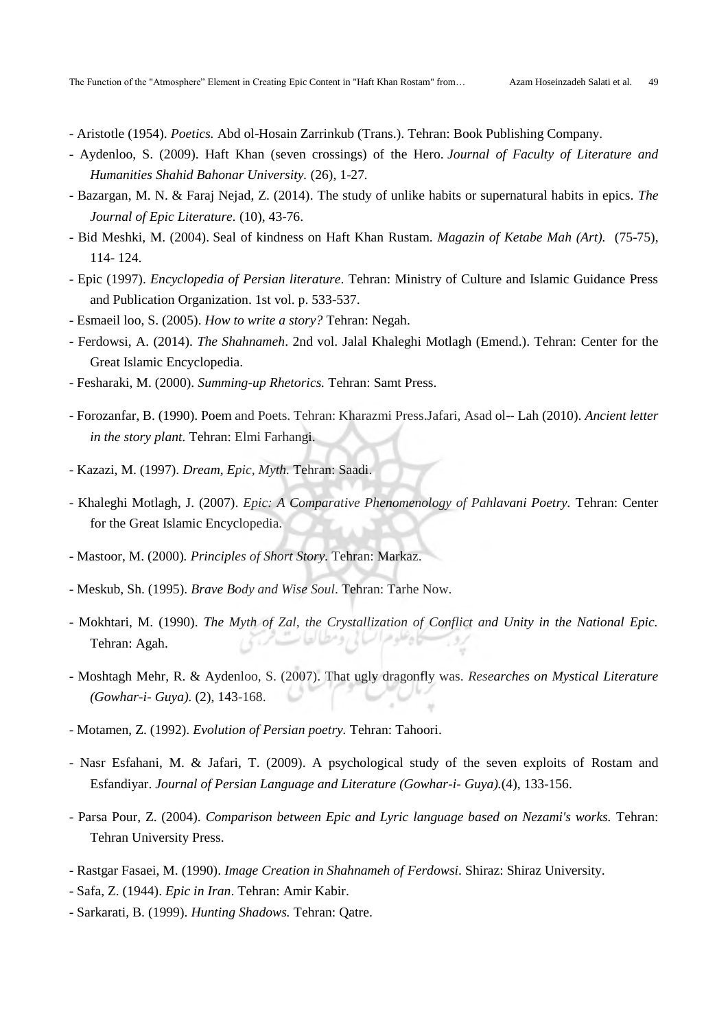- Aristotle (1954). *Poetics.* Abd ol-Hosain Zarrinkub (Trans.). Tehran: Book Publishing Company.
- Aydenloo, S. (2009). Haft Khan (seven crossings) of the Hero. *Journal of Faculty of Literature and Humanities Shahid Bahonar University.* (26), 1-27*.*
- Bazargan, M. N. & Faraj Nejad, Z. (2014). The study of unlike habits or supernatural habits in epics. *The Journal of Epic Literature.* (10), 43-76.
- Bid Meshki, M. (2004). Seal of kindness on Haft Khan Rustam. *Magazin of Ketabe Mah (Art).* (75-75), 114- 124.
- Epic (1997). *Encyclopedia of Persian literature*. Tehran: Ministry of Culture and Islamic Guidance Press and Publication Organization. 1st vol. p. 533-537.
- Esmaeil loo, S. (2005). *How to write a story?* Tehran: Negah.
- Ferdowsi, A. (2014). *The Shahnameh*. 2nd vol. Jalal Khaleghi Motlagh (Emend.). Tehran: Center for the Great Islamic Encyclopedia.
- Fesharaki, M. (2000). *Summing-up Rhetorics.* Tehran: Samt Press.
- Forozanfar, B. (1990). Poem and Poets. Tehran: Kharazmi Press.Jafari, Asad ol-- Lah (2010). *Ancient letter in the story plant.* Tehran: Elmi Farhangi.
- Kazazi, M. (1997). *Dream, Epic, Myth.* Tehran: Saadi.
- Khaleghi Motlagh, J. (2007). *Epic: A Comparative Phenomenology of Pahlavani Poetry.* Tehran: Center for the Great Islamic Encyclopedia.
- Mastoor, M. (2000)*. Principles of Short Story.* Tehran: Markaz.
- Meskub, Sh. (1995). *Brave Body and Wise Soul*. Tehran: Tarhe Now.
- Mokhtari, M. (1990). *The Myth of Zal, the Crystallization of Conflict and Unity in the National Epic.*  سائی بود مطیالیتا Tehran: Agah.
- Moshtagh Mehr, R. & Aydenloo, S. (2007). That ugly dragonfly was. *Researches on Mystical Literature (Gowhar-i- Guya).* (2), 143-168.
- Motamen, Z. (1992). *Evolution of Persian poetry.* Tehran: Tahoori.
- Nasr Esfahani, M. & Jafari, T. (2009). A psychological study of the seven exploits of Rostam and Esfandiyar. *Journal of Persian Language and Literature (Gowhar-i- Guya).*(4), 133-156.
- Parsa Pour, Z. (2004). *Comparison between Epic and Lyric language based on Nezami's works.* Tehran: Tehran University Press.
- Rastgar Fasaei, M. (1990). *Image Creation in Shahnameh of Ferdowsi*. Shiraz: Shiraz University.
- Safa, Z. (1944). *Epic in Iran*. Tehran: Amir Kabir.
- Sarkarati, B. (1999). *Hunting Shadows.* Tehran: Qatre.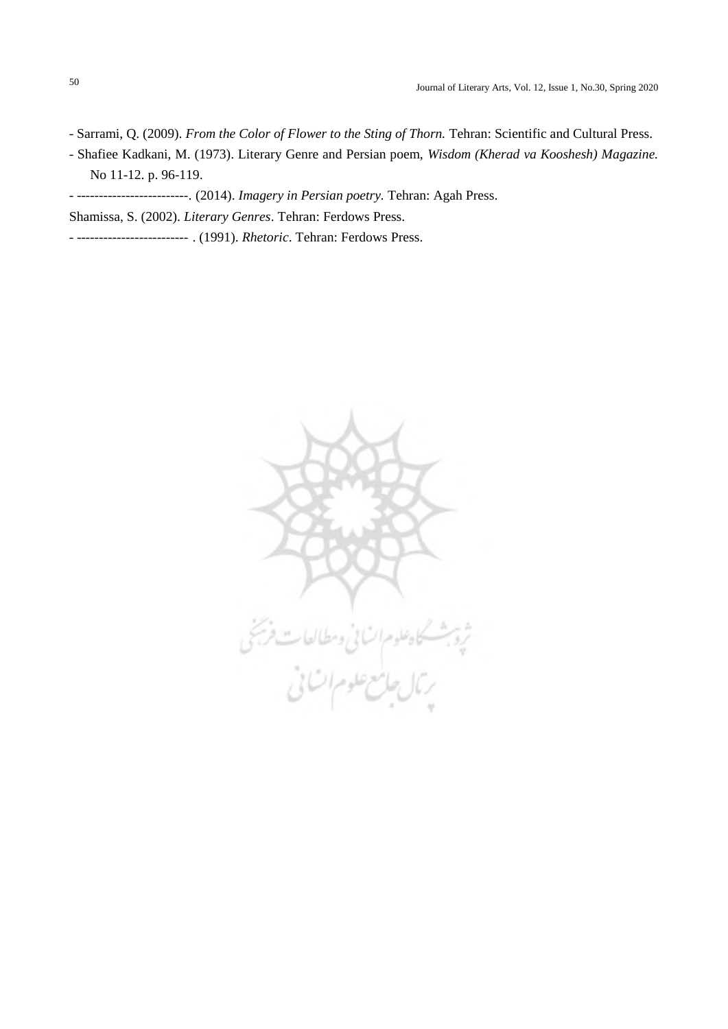- Sarrami, Q. (2009). *From the Color of Flower to the Sting of Thorn.* Tehran: Scientific and Cultural Press.
- Shafiee Kadkani, M. (1973). Literary Genre and Persian poem, *Wisdom (Kherad va Kooshesh) Magazine.* No 11-12. p. 96-119.
- -------------------------. (2014). *Imagery in Persian poetry.* Tehran: Agah Press.
- Shamissa, S. (2002). *Literary Genres*. Tehran: Ferdows Press.
- ------------------------- . (1991). *Rhetoric*. Tehran: Ferdows Press.

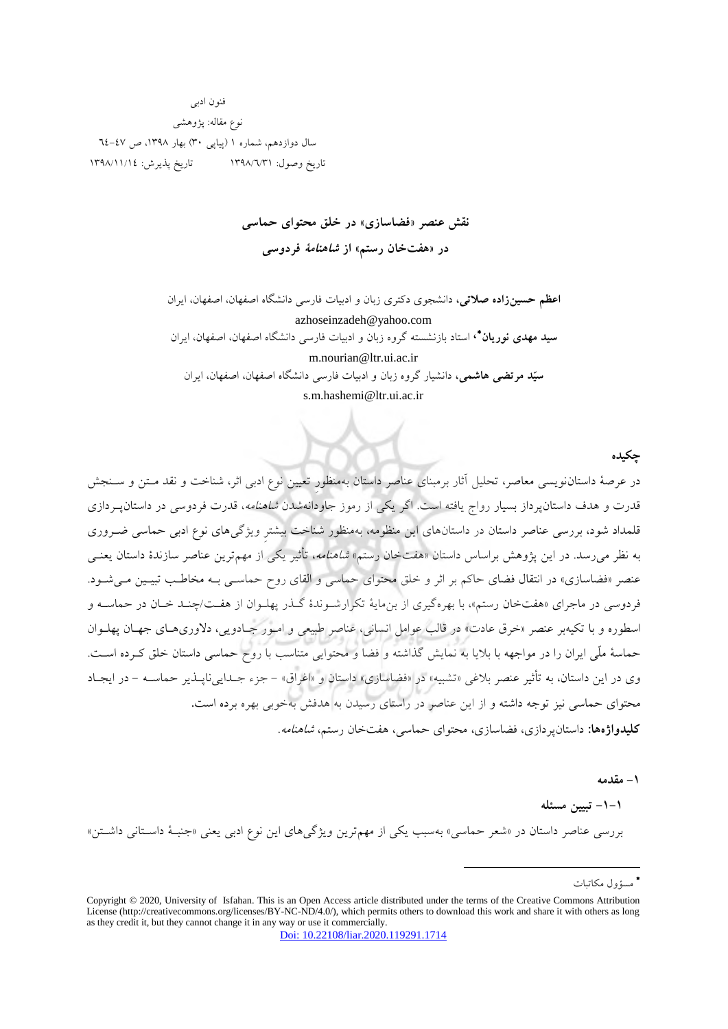فنون ادبی نوع مقاله: پژوهشی سال دوازدهم، شماره 1 )پیاپی 30( بهار ،1398 ص 64-47 تاریخ وصول: ۱۳۹۸/٦/٣١ تاریخ پذیرش: ١٣٩٨/١١/١٤

# **سازی فضا»نقش عنصر « در خلق محتوای حماسی** در «هفتخان رستم» از *شاهنامهٔ* فردوسی

**اعظم حسینزاده صلاتی،** دانشجوی دكتری زبان و ادبیات فارسی دانشگاه اصفهان، اصفهان، ایران azhoseinzadeh@yahoo.com **سید مهدی نوریان\*،** استاد بازنشسته گروه زبان و ادبیات فارسی دانشگاه اصفهان، اصفهان، ایران

m.nourian@ltr.ui.ac.ir  **،هاشمی مرتضی سیّد** گروه دانشیار زبان و ادبیات فارسی دانشگاه اصفهان، اصفهان، ایران s.m.hashemi@ltr.ui.ac.ir

**چکیده**

در عرصۀ داستان تحلیل آثار نویسی معاصر، برمبناي عناصر داستان بهمنظورِ تعیین نوع ادبی اثر، شناخت و نقد متتن و ستنج قدرت و هدف داستانپرداز بسیار رواج یافته است. اگر یکی از رموز جاودانهشدن شاهنامه، قدرت فردوسی در داستانپتردازي قلمداد شود، بررسی عناصر داستان در داستانهاي این منظومه، بهمنظور شناخت بیشترِ ویژگیهاي نوع ادبی حماسی ضتروري به نظر میرسد. در این پژوهش براساس داستان «هفتخان رستم» *شاهنامه*، تأثیر یکی از مهمترین عناصر سازندۀ داستان یعنــی عنصر «فضاسازي» در انتقال فضاي حاكم بر اثر و خلق محتواي حماسی و القاي روح حماسـی بـه مخاطـب تبيـين مـی شـود. فردوسی در ماجرای «هفتخان رستم»، با بهرهگیری از بن مایۀ تکرارشـوندۀ گـذر پهلـوان از هفـت/چنـد خـان در حماســه و اسطوره و با تکیهبر عنصر «خرق عادت» در قالب عوامل انسانی، عناصر طبیعی و امبور جبادویی، دلاوری هبای جهتان پهلبوان حماسۀ ملّی ایران را در مواجهه با بلایا به نمایش گذاشته و فضا و محتوایی متناسب با روح حماسی داستان خلق كـرده اسـت. وی در این داستان، به تأثیر عنصر بلاغی «تشبیه» در «فضاسازی» داستان و «اغراق» – جزء جـدایی ناپــذیر حماســه – در ایجــاد محتواي حماسی نیز توجه داشته و از این عناصر در راستاي رسیدن به هدف بهخوبی بهره برده است**.** <mark>کلیدواژهها:</mark> داستان پر دازي، فضاسازي، محتواي حماسي، هفتخان رستم، *شاهنامه.* 

**-1 مقدمه** 

**-1-1 تبیین مسئله** 

بررسی عناصر داستان در «شعر حماسی» بهسبب یکی از مهم ترین ویژگی های این نوع ادبی یعنی «جنبـۀ داسـتانی داشـتن»

1

مسؤول مکاتبات <sup>∗</sup>

Copyright © 2020, University of Isfahan. This is an Open Access article distributed under the terms of the Creative Commons Attribution License (http://creativecommons.org/licenses/BY-NC-ND/4.0/), which permits others to download this work and share it with others as long as they credit it, but they cannot change it in any way or use it commercially. [Doi: 10.22108/liar.2020.119291.1714](https://liar.ui.ac.ir/article_24846.html)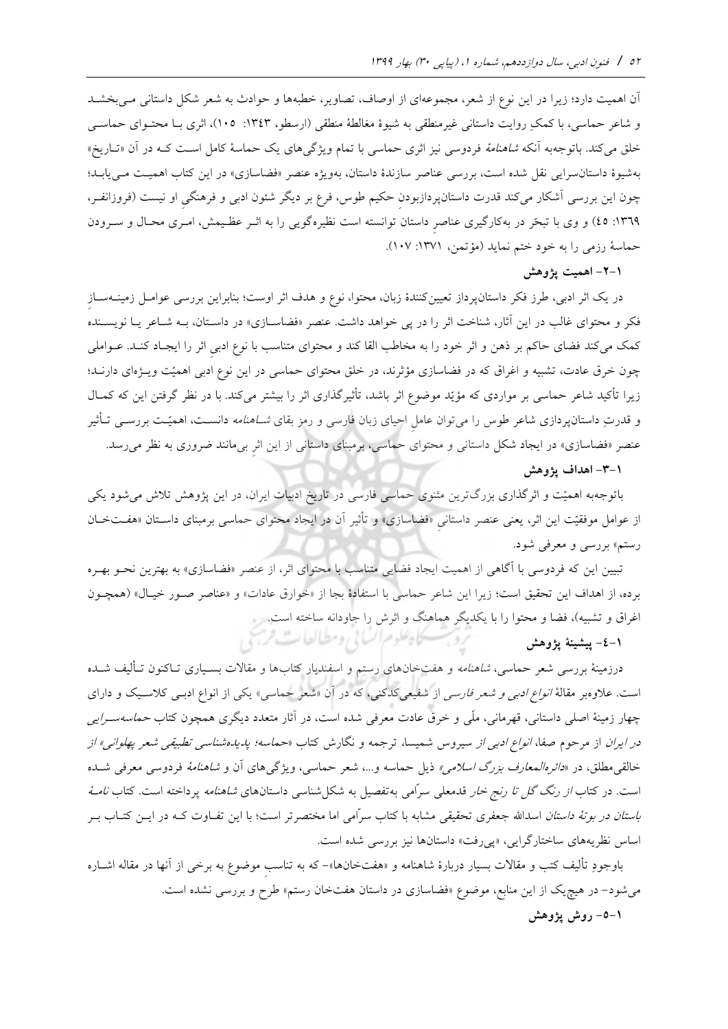آن اهمیت دارد؛ زیرا در این نوع از شعر، مجموعهاي از اوصاف، تصاویر، خطبهها و حوادث به بطشتد شعر شکل داستانی متی و شاعر حماسی، با كمکِ روایت داستانی غیرمنطقی به شیوۀ مغالطۀ منطقی )ارسطو، :1343 105(، اثري بتا محتتواي حماستی خلق میکند. باتوجهبه آنکه *شاهنامۀ* فردوسی نیز اثری حماسی با تمام ویژگیهای یک حماسۀ کامل است کـه در آن «تــاریخ» بهشیوۀ داستانسرایی نقل شده است، بررسی عناصر سازندۀ داستان، بهویژه عنصر «فضاسازی» در این كتاب اهمیـت مـیLیابـد؛ چون این بررسی آشکار میکند قدرت داستانپردازبودن حکیم طوس، فرع بر دیگر شئون ادبی و فرهنگی او نیست (فروزانفـر، ١٣٦٩: ٤٥) و وي با تبحّر در بهكارگیري عناصرِ داستان توانسته است نظیرهگویی را به اثـر عظـیمش، امـری محـال و سـرودن حماسۀ رزمی را به خود ختم نماید (مؤتمن، ١٣٧١: ١٠٧).

**-2-1 اهمیت پژوهش**

در یک اثر ادبی، طرز فکر داستان پرداز تعیینکنندۀ زبان، محتوا، نوع و هدف اثر اوست؛ بنابراین بررسی عوامــل زمینــهســاز فکر و محتواي غالب در اين آثار، شناخت اثر را در پي خواهد داشت. عنصر «فضاسـازي» در داسـتان، بــه شـاعر يـا نويسـنده كمک می كند فضاي حاكم بر ذهن و اثر خود را به مخاطب القا كند و محتواي متناسب با نوع ادبیِ اثر را ایجـاد كنـد. عــواملی چون خرق عادت، تشبیه و اغراق كه در فضاسازی مؤثرند، در خلق محتوای حماسی در این نوع ادبی اهمیّت ویـژهای دارنــد؛ زیرا تأكید شاعر حماسی بر مواردی كه مؤیّد موضوع اثر باشد، تأثیرگذاری اثر را بیشتر میكند. با در نظر گرفتن این كه كمـال و قدرتِ داستانپردازی شاعر طوس را میتوان عامل احیای زبان فارسی و رمز بقای *شـاهنامه* دانسـت، اهمیّـت بررســی تــأثیر عنصر «فضاسازی» در ایجاد شکل داستانی و محتوای حماسی، برمبنای داستانی از این اثرِ بیمانند ضروری به نظر میرسد.

#### **-3-1 اهداف پژوهش**

باتوجهبه اهمیّت و اثرگذاری بزرگترین مثنوی حماسی فارسی در تاریخ ادبیات ایران، در این پژوهش تلاش میشود یکی از عوامل موفقیّت این اثر، یعنی عنصر داستانیِ »فضاسازي« و تأثیر آن در ایجاد محتواي حماسی برمبناي داستتان »هفتت ختان رستم» بررسی و معرفی شود.

تبیین این كه فردوسی با آگاهی از اهمیت ایجاد فضایی متناسب با محتوای اثر، از عنصر «فضاسازی» به بهترین نحـو بهـره برده، از اهداف این تحقیق است؛ زیرا این شاعر حماسی با استفادۀ بجا از «خوارق عادات» و «عناصر صـور خیـال» (همچـون اغراق و تشبیه)، فضا و محتوا را با یکدیگر هماهنگ و اثرش را جاودانه ساخته است.<br>1–٤– **بیشینهٔ یژوهش** 

**-4-1 پیشینة پژوهش** 

درزمینۀ بررسی شعر حماسی، *شاهنامه* و هفتخانهای رستم و اسفندیار كتابها و مقالات بسـیاری تــاكنون تــألیف شــده است. علاوهبر مقالۀ *انواع ادبی و شعر فارسی* از شفیعیكدكنی، كه در آن «شعر حماسی» یكی از انواع ادبـی كلاسـیک و دارای چهار زمینۀ اصلی داستانی، قهرمانی، ملّی و خرق عادت معرفی شده است، در آثار متعدد دیگری همچون كتاب *حماسهسـرایی* در *ایران* از مرحوم صفا، *انواع ادبی از سی*روس شمیسا، ترجمه و نگارش كتاب «حم*اسه؛ پدیدهشناسی تطبیقی شعر پهلوانی» از* خالقی مطلق، در *«دائرهالمعارف بزرگ اسلامی»* ذیل حماسه و…، شعر حماسی، ویژگی های آن و *شاهنامۀ* فردوسی معرفی شــده است. در كتاب *از رنگ گل تا رنج خار* قدمعلی سرّامی به تفصیل به شكل شناسی داستانهای *شاهنامه* پرداخته است. كتاب *نامـهٔ باستان در بوتۀ داستان* اسدالله جعفری تحقیقی مشابه با كتاب سرّامی اما مختصرتر است؛ با این تفـاوت كـه در ایــن كتــاب بــر اساس نظریههای ساختارگرایی، «پی وفت» داستانها نیز بررسی شده است.

باوجودِ تألیف كتب و مقالات بسیار دربارۀ شاهنامه و «هفتخانها»– كه به تناسبِ موضوع به برخی از آنها در مقاله اشــاره می شود– در هیچ یک از این منابع، موضوع «فضاسازی در داستان هفتخان رستم» طرح و بررسی نشده است. **-5-1 روش پژوهش**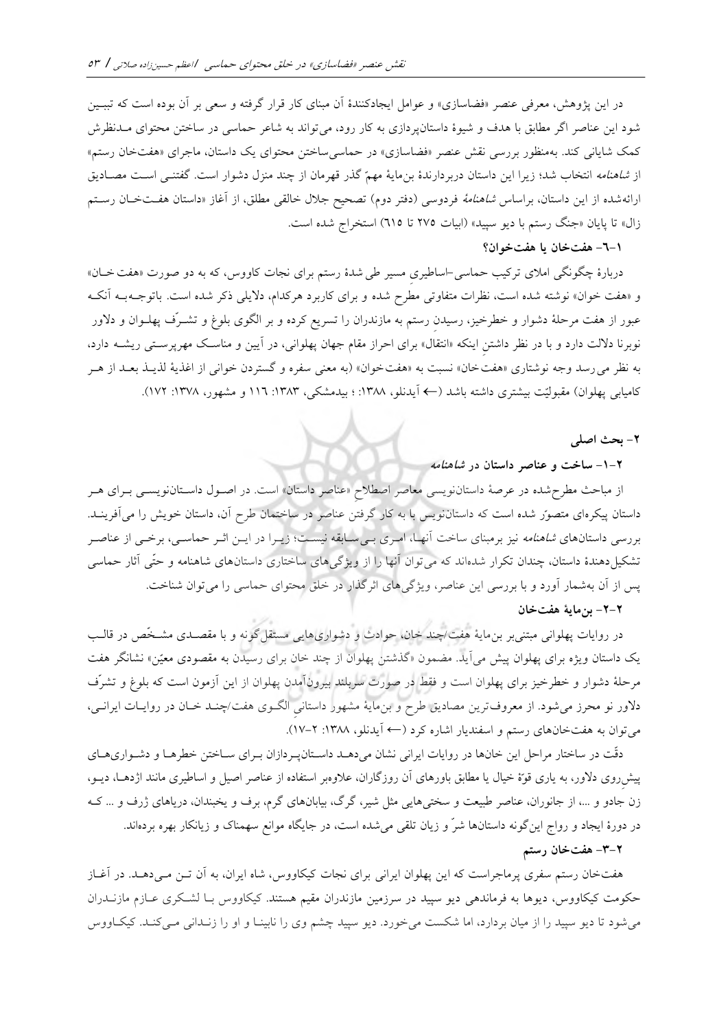در این پژوهش، معرفی عنصر «فضاسازی» و عوامل ایجادکنندۀ آن مبنای كار قرار گرفته و سعی بر آن بوده است كه تببـین شود این عناصر اگر مطابق با هدف و شیوۀ داستان پردازي به كار رود، مي تواند به شاعر حماسی در ساختن محتواي مـدنظرش كمک شایانی كند. بهمنظور بررسی نقش عنصر «فضاسازی» در حماسی ساختن محتوای یک داستان، ماجرای «هفتخان رستم» از *شاهنامه* انتخاب شد؛ زیرا این داستان دربردارندۀ بنمایۀ مهمّ گذر قهرمان از چند منزل دشوار است. گفتنــی اسـت مصــادیق ارائهشده از این داستان، براساس *شاهنامۀ فردوسی (دفتر دوم) تصحیح جلال خالقی مطلق، از آغاز «داستان هفتخ*ان رستم زال» تا پایان «جنگ رستم با دیو سپید» (ابیات ٢٧٥ تا ٦١٥) استخراج شده است.

### **-6-1 خان هفت یا خوان؟ هفت**

دربارۀ چگونگی املای تركیب حماسی-اساطیری مسیر طی شدۀ رستم برای نجات كاووس، كه به دو صورت «هفت خــان» و «هفت خوان» نوشته شده است، نظرات متفاوتی مطرح شده و برای کاربرد هرکدام، دلایلی ذکر شده است. باتوجـهبـه آنکـه عبور از هفت مرحلۀ دشوار و خطرخیز، رسیدن رستم به مازندران را تسریع کرده و بر الگوی بلوغ و تشــرّف پهلــوان و دلاور نوبرنا دلالت دارد و با در نظر داشتنِ اینکه «انتقال» برای احراز مقام جهان پهلوانی، در آیین و مناسک مهرپرستی ریشـه دارد، به نظر می رسد وجه نوشتاری «هفت خان» نسبت به «هفت خوان» (به معنی سفره و گستردن خوانی از اغذیهٔ لذیـذ بعـد از هـر کامیابی پهلوان) مقبولیّت بیشتری داشته باشد (← آیدنلو، ۱۳۸۸: ؛ بیدمشکی، ۱۳۸۳: ۱۱۲ و مشهور، ۱۳۷۸: ۱۷۲).

#### **-2 بحث اصلی**

#### **-1-2 ساخت و عناصر داستان در شاهنامه**

 از مباحث مطرحشده در عرصۀ داستاننویسی معاصر اصطالحِ « عناصر داستان» است. در اصتول داستتان نویستی بتراي هتر داستان پیکرهای متصوّر شده است كه داستان نویس با به كار گرفتن عناصر در ساختمان طرح آن، داستان خویش را میآفرینـد. بررسی داستانهای *شاهنامه* نیز برمبنای ساخت آنهـا، امـری بـی۳سـابقه نیسـت؛ زیـرا در ایــن اثــر حماســی، برخــی از عناصــر تشکیل(هندۀ داستان، چندان تکرار شدهاند که می توان آنها را از ویژگیهای ساختاری داستانهای شاهنامه و حتّی آثار حماسی پس از آن به شمار آورد و با بررسی این عناصر، ویژگی های اثرگذار در خلق محتوای حماسی را می توان شناخت.

## **-2-2 خان مایة هفت بن**

در روایات پهلوانی مبتنی بر بن،ایۀ هفت/چند خان، حوادث و دشواری۵ایی مستقل گونه و با مقصـدی مشـخّص در قالـب یک داستان ویژه برای پهلوان پیش می آید. مضمون «گذشتن پهلوان از چند خان برای رسیدن به مقصودی معیّن» نشانگر هفت مرحلۀ دشوار و خطرخیز برای پهلوان است و فقط در صورت سربلند بیرونآمدن پهلوان از این آزمون است كه بلوغ و تشرّف دلاور نو محرز میشود. از معروفترین مصادیق طرح و بنمایۀ مشهور داستانی الگـوی هفت/چنـد خـان در روایــات ایرانــی، میتوان به هفتخانهای رستم و اسفندیار اشاره كرد (← آیدنلو، ۱۳۸۸: ۲–۱۷).

دقّت در ساختار مراحل این خانها در روایات ایرانی نشان میدهـد داسـتانپـردازان بـرای سـاختن خطرهـا و دشـواریهـای پیش روی دلاور، به یاری قوّۀ خیال یا مطابق باورهای آن روزگاران، علاوهبر استفاده از عناصر اصیل و اساطیری مانند اژدهـا، دیــو، زن جادو و ،... از جانوران، عناصر بیعت و سطتیهایی مثل شیر، گرگ، بیابانهاي گرم، برف و یطبندان، دریاهاي ژرف و ... كته در دورهٔ ایجاد و رواج این گونه داستانها شرّ و زیان تلقی میشده است، در جایگاه موانع سهمناک و زیانکار بهره بردهاند.

### **-3-2 خان رستم هفت**

هفتخان رستم سفري پرماجراست كه این پهلوان ایرانی براي نجات [كیکاووس، شا](https://fa.wikipedia.org/wiki/%DA%A9%DB%8C%DA%A9%D8%A7%D9%88%D9%88%D8%B3)ه ایران، به آن تتن مت یدهتد. در آغتاز حکومت كیکاووس، [دیوها](https://fa.wikipedia.org/wiki/%D8%AF%DB%8C%D9%88) به فرماندهی [دیو سپید](https://fa.wikipedia.org/wiki/%D8%AF%DB%8C%D9%88_%D8%B3%D9%BE%DB%8C%D8%AF) در سرزمین [مازندران](https://fa.wikipedia.org/w/index.php?title=%D9%85%D8%A7%D8%B2%D9%86%D8%AF%D8%B1%D8%A7%D9%86_%D8%AF%D8%B1_%D8%B4%D8%A7%D9%87%D9%86%D8%A7%D9%85%D9%87&action=edit&redlink=1) مقیم هستند. كیکاووس بتا لشتکري عتازم مازنتدران میشود تا دیو سپید را از میان بردارد، اما شکست میخورد. دیو سپید چشم وي را نابینتا و او را زنتدانی متی كنتد . كیکتاووس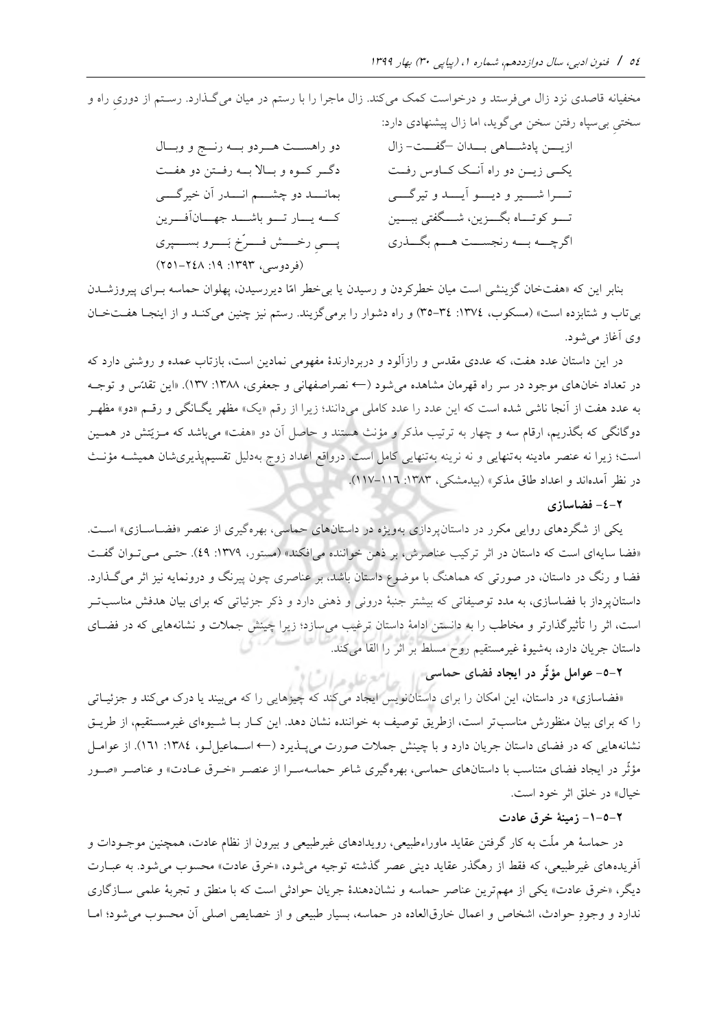مخفیانه قاصدی نزد زال میفرستد و درخواست كمک میكند. زال ماجرا را با رستم در میان می گـذارد. رسـتم از دوریِ راه و

|                                             | سختی بی سپاه رفتن سخن میگوید، اما زال پیشنهادی دارد: |
|---------------------------------------------|------------------------------------------------------|
| دو راهســت هــردو بــه رنــج و وبــال       | ازيــــن پادشــــاهي بــــدان كفــــت- زال           |
| دگر كوه و بالا به رفتن دو هفت               | یکسی زیــن دو راه آنــک کــاوس رفــت                 |
| بمانــــد دو چشـــــم انــــدر أن خيرگــــي | تـــرا شــــير و ديــــو آيــــد و تيرگــــي         |
| كمه يسار تسو باشسد جهسانآفرين               | تــــو كوتــــاه بگـــــزين، شــــگفتى ببـــــين     |
| پسمی رخسمش فسرخ بَســرو بســـــپری          | اگرچـــه بـــه رنجســـت هـــم بگـــذري               |
| (فردوسی، ۱۳۹۳: ۱۹: ۲٤۸–۲۵۱)                 |                                                      |

بنابر این كه »هفتخان گزینشی است میان خطركردن و رسیدن یا بیخطر امّا دیررسیدن، پهلوان حماسه بتراي پیروزشتدن بیتاب و شتابزده است« )مسکوب، :1374 35-34( و راه دشوار را برمیگزیند. رستم نیز چنین میكنتد و از اینجتا هفتت ختان وي آغاز میشود.

در این داستان عدد هفت، كه عددي مقدس و رازآلود و دربردارندۀ مفهومی نمادین است، بازتاب عمده و روشنی دارد كه در تعداد خانهاي موجود در سر راه قهرمان مشاهده می شود (← نصراصفهانی و جعفري، ١٣٨٨: ١٢٧). «این تقدّس و توجـه به عدد هفت از آنجا ناشی شده است كه این عدد را عدد كاملی میدانند؛ زیرا از رقم «یک» مظهر یگـانگی و رقــم «دو» مظهـر دوگانگی كه بگذریم، ارقام سه و چهار به ترتیب مذكر و مؤنث هستند و حاصل آن دو «هفت» میباشد كه مـزیّتش در همـین است؛ زیرا نه عنصر مادینه بهتنهایی و نه نرینه بهتنهایی كامل است. درواقع اعداد زوج بهدلیل تقسیمپذیریشان همیشـه مؤنـث در نظر آمدهاند و اعداد طاق مذكر» (بیدمشكی، ۱۳۸۳: ۱۱۷–۱۱۷).

### **-4-2 فضاسازی**

یکی از شگردهای روایی مکرر در داستان پردازی بهویژه در داستان های حماسی، بهرهگیری از عنصر «فضـاســازی» اســت. «فضا سایهای است كه داستان در اثر تركیب عناصرش، بر ذهن خواننده می افكند» (مستور، ١٣٧٩: ٤٩). حتـبی مـبی تـوان گفـت فضا و رنگ در داستان، در صورتی كه هماهنگ با موضوع داستان باشد، بر عناصري چون پیرنگ و درونمایه نیز اثر میگت ارد. داستانپرداز با فضاسازی، به مدد توصیفاتی كه بیشتر جنبۀ درونی و ذهنی دارد و ذكر جزئیاتی كه برای بیان هدفش مناسبتو است، اثر را تأثیرگذارتر و مخاطب را به دانستن ادامۀ داستان ترغیب میسازد؛ زیرا چینش جملات و نشانههایی كه در فضـای داستان جریان دارد، بهشیوۀ غیرمستقیم روح مسلط بر اثر را القا میكند.

# **-5-2 عوامل مؤثّر در ایجاد فضای حماسی**

«فضاسازی» در داستان، این امکان را برای داستاننویس ایجاد می كند كه چیزهایی را كه می بیند یا درک می كند و جزئیـاتی را كه براي بیان منظورش مناسبتر است، ازطریق توصیف به خواننده نشان دهد. این كـار بـا شــیوهاي غیرمسـتقیم، از طریـق نشانه هایی كه در فضای داستان جریان دارد و با چینش جملات صورت میپلدیرد (← اسـماعیل لـو، ١٣٨٤: ١٦١). از عوامــل مؤثّر در ایجاد فضاي متناسب با داستانهاي حماسي، بهرهگیري شاعر حماسهسـرا از عنصـر «خـرق عــادت» و عناصـر «صـور خیال» در خلق اثر خود است.

#### **-1-5-2 زمینة خرق عادت**

در حماسۀ هر ملّت به كار گرفتن عقاید ماوراء بیعی، رویدادهاي غیر بیعی و بیرون از نظام عادت، همچنین موجتودات و آفریدههای غیر طبیعی، كه فقط از رهگذر عقاید دینی عصر گذشته توجیه می شود، «خرق عادت» محسوب می شود. به عبــارت دیگر، «خرق عادت» یکی از مهمترین عناصر حماسه و نشاندهندۀ جریان حوادثی است كه با منطق و تجربۀ علمی ســازگاری ندارد و وجودِ حوادث، اشخاص و اعمال خارقالعاده در حماسه، بسیار طبیعی و از خصایص اصلی آن محسوب می شود؛ امــا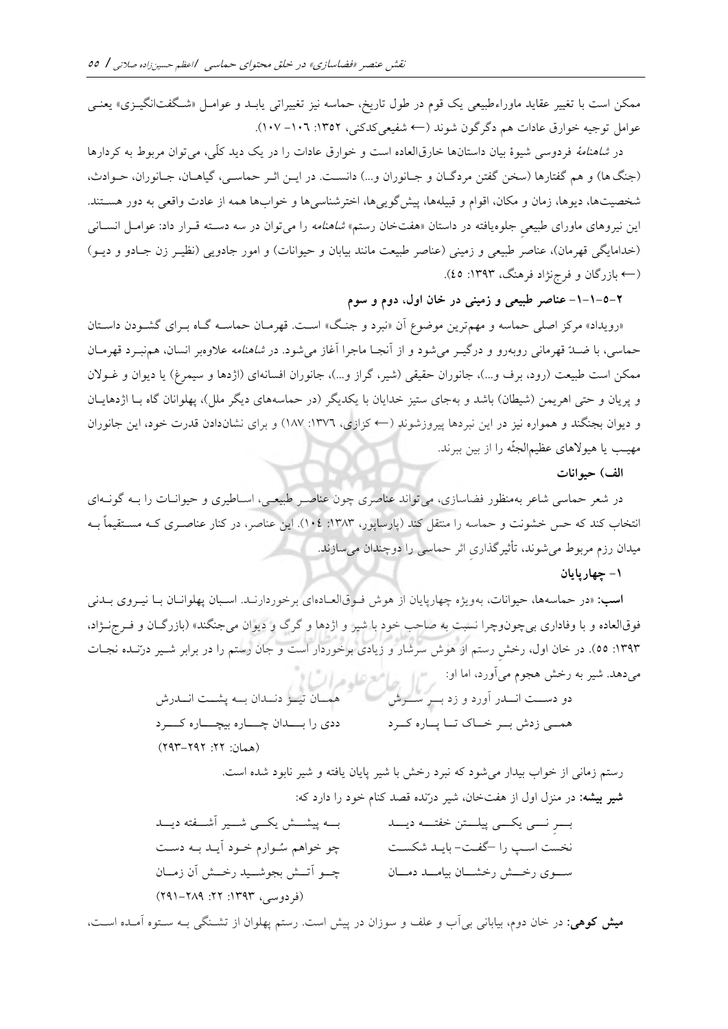ممکن است با تغییر عقاید ماوراءطبیعی یک قوم در طول تاریخ، حماسه نیز تغییراتی یابـد و عوامـل «شـگفتانگیــزی» یعنـی عوامل توجیه خوارق عادات هم دگرگون شوند (← شفیعی كدكنی، ۱۳۵۲: ۱۰۷– ۱۰۷).

در شاهنامۀ فردوسی شیوۀ بیان داستان ها خارق العاده است و خوارق عادات را در یک دید كلّی، میتوان مربوط به كردارها (جنگ ها) و هم گفتارها (سخن گفتن مردگـان و جـانوران و...) دانسـت. در ایــن اثــر حماســي، گیاهــان، جــانوران، حــوادث، شخصیتها، دیوها، زمان و مکان، اقوام و قبیلهها، پیش گویی ها، اخترشناسی ها و خوابها همه از عادت واقعی به دور هسـتند. این نیروهای ماورای طبیعی جلوه یافته در داستان «هفتخان رستم*» شاهنامه* را می توان در سه دسـته قــرار داد: عوامــل انســانی (خدامایگی قهرمان)، عناصر طبیعی و زمینی (عناصر طبیعت مانند بیابان و حیوانات) و امور جادویی (نظیـر زن جـادو و دیـو) )← نژاد فرهنگ، بازرگان و فرج :1393 45(.

**-1-1-5-2 عناصر طبیعی و زمینی در خان اول، دوم و سوم** 

« رویداد» مركز اصلی حماسه و مهمترین موضوع آن « نبرد و جنتگ » استت. قهرمتان حماسته گتاه بتراي گشتودن داستتان حماسی، با ضــدّ قهرمانی روبه٫و و درگیــر میشود و از آنجـا ماجرا آغاز میشود. در *شاهنامه* علاوهبر انسان، همنبــرد قهرمــان ممکن است طبیعت (رود، برف و...)، جانوران حقیقی (شیر، گراز و...)، جانوران افسانهای (اژدها و سیمرغ) یا دیوان و غــولان و پریان و حتی اهریمن (شیطان) باشد و بهجای ستیز خدایان با یکدیگر (در حماسههای دیگر ملل)، پهلوانان گاه بـا اژدهایـان و دیوان بجنگند و همواره نیز در این نبردها پیروزشوند )← كزازي، :1376 187( و براي نشاندادن قدرت خود، این جانوران مهیتب یا هیورهاي عظیمالجثّه را از بین ببرند.

**الف( حیوانات**

در شعر حماسی شاعر بهمنظور فضاسازی، میتواند عناصری چون عناصـر طبیعـی، اسـاطیری و حیوانــات را بــه گونــهای انتخاب كند كه حس خشونت و حماسه را منتقل كند (پارساپور، ١٣٨٣: ١٠٤). این عناصر، در كنار عناصـري كـه مسـتقیماً بـه میدان رزم مربوط میشوند، تأثیرگ اريِ اثر حماسی را دوچندان میسازند.

#### **-1 چهارپایان**

**اسب:** «در حماسهها، حیوانات، بهویژه چهارپایان از هوش فـوقالعـادهای برخوردارنـد. اسـبان پهلوانـان بـا نیـروی بـدنی فوقالعاده و با وفاداري بي چونوچرا نسبت به صاحب خود با شیر و اژدها و گرگ و دیوان می جنگند» (بازرگـان و فـرجزـژاد، ۱۳۹۳: ۵٥). در خان اول، رخش رستم از هوش سرشار و زیادی برخوردار است و جان رستم را در برابر شـیر درّنـده نجـات میدهد. شیر به رخش هجوم میآورد، اما او: پرسم است است ها میتوانس

دو دستتت انتتدر آورد و زد بتتر ستترش همسی زدش بسر خساک تسا پساره كسرد همتان تیتز دنتدان بته پشتت انتدرش ددي را بـــدان چـــاره بیچـــاره كـــرد (همان: ٢٢: ٢٩٢-٢٩٣)

> رستم زمانی از خواب بیدار میشود كه نبرد رخش با شیر پایان یافته و شیر نابود شده است. **شیر بیشه:** در منزل اول از هفتخان، شیر درّنده قصد كنام خود را دارد كه:

بت نتتی یکتی پیلستن خفتته دیت نخست است را –گفت- بایـد شکسـت سسوي رخشش رخشتان بيامت دمتان بتته پیشتت یکتتی شتتیر آشتتفته دیتتد چو خواهم سُتوارم ختود آیتد بته دستت چتو آتتش بجوشتید رختش آن زمتان (فردوسی، ۱۳۹۳: ۲۲: ۲۸۹–۲۹۱)

**میش کوهی:** در خان دوم، بیابانی بیآب و علد و سوزان در پی است. رستم پهلوان از تشتنگی بته ستتوه آمتده استت،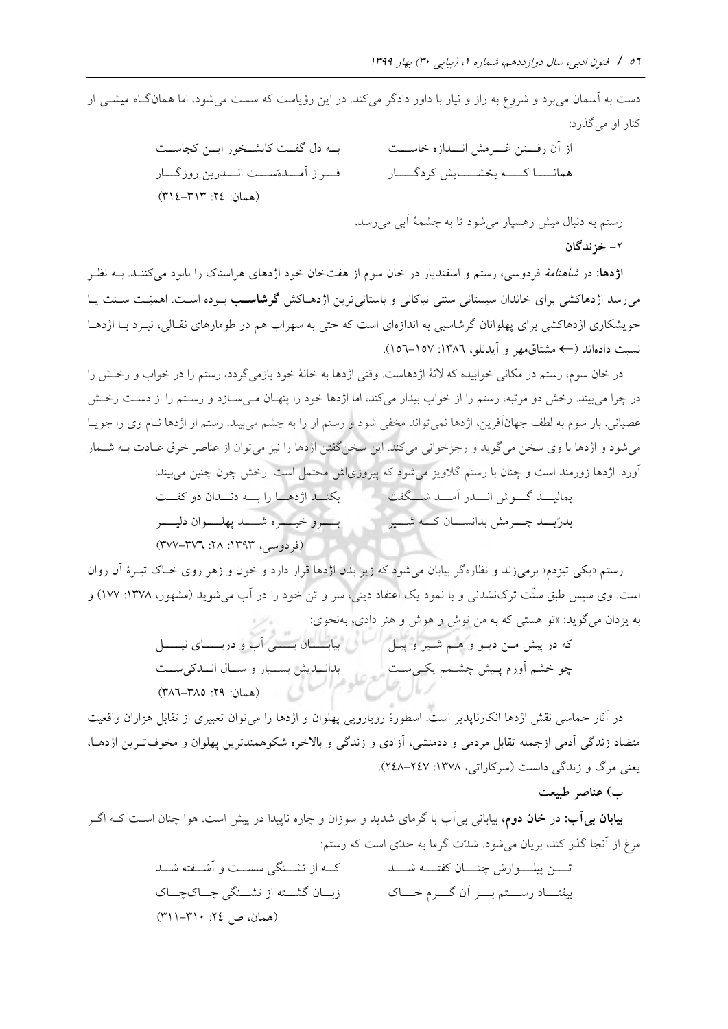دست به آسمان میبرد و شروع به راز و نیاز با داور دادگر میكند. در این رؤیاست كه سست میشود، اما همانگتاه [میشتی](https://fa.wikipedia.org/wiki/%D9%85%DB%8C%D8%B4) از كنار او می گذرد:

از آن رفتتتتن غتتترم انتتتدازه خاستتتت همانتتتتا كتتتته بطشتتتتای كردگتتتتار بتته دل گفتتت كابشتتطور ایتتن كجاستتت فتتتراز آمتتتده ستتتت انتتتدرین روزگتتتار )همان: :24 314-313(

رستم به دنبال میش رهسپار میشود تا به چشمۀ آبی می رسد.

**-**2 **خزندگان** 

**اژدها:** در شاهنامۀ فردوسی، رستم و اسفندیار در خان سوم از هفتخان خود اژدهاي هراسناک را نابود می نظتر بته كننتد. می رسد اژدهاكشی برای خاندان سیستانی سنتی نیاكانی و باستانی ترین اژدهـاكش **گرشاسـب** بـوده اسـت. اهمیّـت سـنت یــا خویشکاری اژدهاکشی برای پهلوانان گرشاسبی به اندازهای است كه حتی به سهراب هم در طومارهای نقـالی، نبـرد بـا اژدهـا اند ) نسبت داده ← مشتاقمهر و آیدنلو، :1386 156-157(.

در خان سوم، رستم در مکانی خوابیده كه لانۀ اژدهاست. وقتی اژدها به خانۀ خود بازمیگردد، رستم را در خواب و رخـش را در چرا میبیند. رخش دو مرتبه، رستم را از خواب بیدار میكند، اما اژدها خود را پنهـان مـیسـازد و رسـتم را از دسـت رخـش عصبانی. بار سوم به لطف جهانآفرین، اژدها نمیتواند مخفی شود و رستم او را به چشم میبیند. رستم از اژدها نــام وي را جویــا میشود و اژدها با وي سطن میگوید و رجزخوانی میكند. این سطنگفتن اژدها را نیز میتوان از عناصر خرق عتادت بته شتمار آورد. اژدها زورمند است و چنان با رستم گلاویز میشود كه پیروزی|ش محتمل است. رخش چون چنین میبیند:

> بمالیسه گسوش انسه را مسه شتتکفت به بکنند اژدهسا را بسه دنسدان دو كفست بدرّیت چترمش بدانستان كته شتتیر بتتتترو خیتتتتره شتتتتد پهلتتتتوان دلیتتتتر (فردوسی، ۱۳۹۳: ۲۸: ۳۷۷–۳۷۷)

رستم «یکی تیزدم» برمی زند و نظاره گر بیابان می شود كه زیر بدن اژدها قرار دارد و خون و زهر روی خباک تیبرۀ آن روان است. وی سپس طبق سنّت ترک $نشدنی و با نمود یک اعتقاد دینی، سر و تن خود را در آب می شوید (مشهور، ۱۳۷۸: ۱۷۷) و$ به یزدان میگوید: »تو هستی كه به من توش و هوش و هنر دادي، بهنحوي:

كه در پی متن دیتو و هتم شتیر و پیتل چو خشم آورم پتی چشتمم یکتی ستت بیابتتتتان بتتتتی آب و دریتتتتاي نیتتتتل بدانتتدی بستتیار و ستتال انتتدكی ستتت )همان: :29 386-385(

در آثار حماسی نقش اژدها انکارناپذیر است. اسطورۀ رویارویی پهلوان و اژدها را می توان تعبیری از تقابل هزاران واقعیت متضاد زندگی آدمی ازجمله تقابل مردمی و ددمنشی، آزادي و زندگی و بارخره شکوهمندترین پهلوان و مطوفتترین اژدهتا، یعنی مرگ و زندگی دانست )سركاراتی، :1378 248-247(.

**ب( عناصر طبیعت** 

**بیابان بی آب:** در **خان دوم**، بیابانی بی آب با گرمای شدید و سوزان و چاره ناپیدا در پیش است. هوا چنان اسـت كـه اگـر مرغ از آنجا گذر كند، بریان می شود. شدّت گرما به حدّى است كه رستم:

> تتتتن پیلتتتوارش چنتتتان كفتتتته شتتتد بیفتـــاد رســـتم بــــر آن گــــرم خــــاک كتته از تشتتنگی سستتت و آشتتفته شتتد زبتتان گشتتته از تشتتنگی چتتاک چتتاک  $(\uparrow\uparrow\uparrow\uparrow\uparrow\uparrow\cdot\downarrow\uparrow\downarrow\downarrow\downarrow\downarrow)$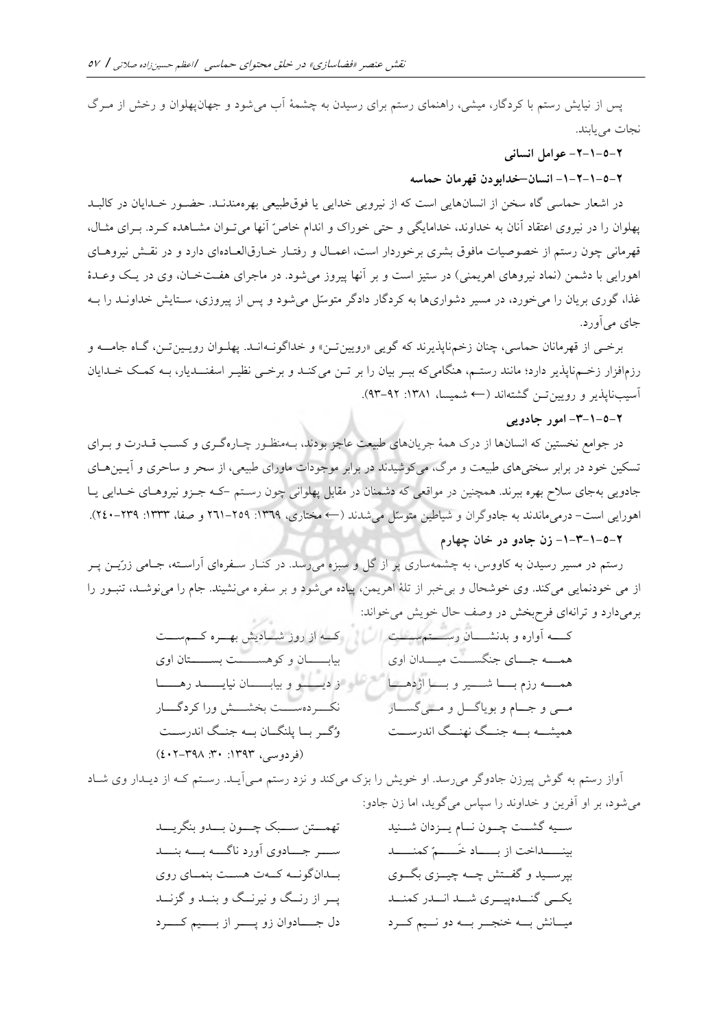پس از نیایش رستم با كردگار، میشی، راهنمای رستم برای رسیدن به چشمۀ آب میشود و جهانپهلوان و رخش از مـرگ نجات مییابند.

## **-2-1-5-2 یعوامل انسان**

#### **-1-2-1-5-2 انسان –خدابودن قهرمان حماسه**

در اشعار حماسی گاه سخن از انسانهایی است كه از نیرویی خدایی یا فوق طبیعی بهرهمندنـد. حضـور خـدایان در كالبـد پهلوان را در نیروي اعتقاد آنان به خداوند، خدامایگی و حتی خوراک و اندام خاصّ آنها می تـوان مشـاهده كـرد. بـرای مثـال، قهرمانی چون رستم از خصوصیات مافوق بشري برخوردار است، اعمـال و رفتـار خـارقالعـادهاي دارد و در نقـش نیروهـاي اهورایی با دشمن (نماد نیروهاي اهریمنی) در ستیز است و بر آنها پیروز میشود. در ماجراي هفـتخـان، وي در یـک وعـدۀ غذا، گوري بریان را می خورد، در مسیر دشواريها به كردگار دادگر متوسّل می شود و پس از پیروزي، سـتایش خداونــد را بــه جاي مي آورد.

برختی از قهرمانان حماسی، چنان زخمناپذیرند كه گویی «رویین تـن» و خداگونـهانــد. پهلــوان رویــین تــن، گــاه جامـــه و رزمافزار زختم ناپذیر دارد؛ مانند رستتم، هنگامیكه ببتر بیان را بر تتن میكنتد و برختی نظیتر اسفنتتدیار، بته كمتک ختدایان آسیبنایذیر و رویین تـن گشتهاند (← شمیسا، ۱۳۸۱: ۹۲-۹۳).

#### **-3-1-5-2 امور جادویی**

در جوامع نخستین كه انسانها از درک همۀ جریانهای طبیعت عاجز بودند، بـهمنظـور چـارهگـری و كسـب قــدرت و بــرای تسکین خود در برابر سختیهاي طبیعت و مرگ، میكوشیدند در برابر موجودات ماوراي طبیعی، از سحر و ساحري و آیــینهــاي جادویی بهجاي سالح بهره ببرند. همچنین در مواقعی كه دشمنان در مقابل پهلوانی چون رستتم -كته جتزو نیروهتاي ختدایی یتا اهورایی است- درمی ماندند به جادوگران و شیاطین متوسّل می شدند (← مختاری، ١٣٦٩: ٢٥٩–٢٢١ و صفا، ١٣٣٣: ٢٤٩–٢٤٠).

# **-1-3-1-5-2 زن جادو در خان چهارم**

رستم در مسیر رسیدن به كاووس، به چشمهساري پر از گل و سبزه میرسد. در كنتار ستفره اي آراستته، جتامی زرّیتن پتر ا[ز](https://fa.wikipedia.org/wiki/%D8%B4%D8%B1%D8%A7%D8%A8) [می](https://fa.wikipedia.org/wiki/%D8%B4%D8%B1%D8%A7%D8%A8)خودنمایی می كند. وی خوشحال و بیخبر از تلۀ اهریمن، پیاده میشود و بر سفره می نشیند. جام را می نوشـد، تنبـور را برمی دارد و ترانهای فرحبخش در وصف حال خویش می خواند:  $-24$ 

كتتته آواره و بدنشتتتان رستتتتمستتتت همتتته جتتتاي جنگستتتت میتتتدان اوي همتتته رزم بتتتا شتتتیر و بتتتا اژدهتتتا متتی و جتتام و بویاگتتل و متتیگستتار همیشتته بتته جنتتگ نهنتتگ اندرستتت كتته از روز شتتادی بهتتره كتتمستتت بیابتتتتتان و كوهستتتتتت بستتتتتتان اوي ز دیتتتتتو و بیابتتتتتان نیایتتتتتد رهتتتتتا نکتتتردهستتتت بطشتتت ورا كردگتتتار وُگتتر بتتا پلنگتتان بتته جنتتگ اندرستتت )فردوسی، :1393 :30 402-398(

آواز رستم به گوش پیرزن جادوگر می رسد. او خویش را بزک میكند و نزد رستم مـی]یــد. رسـتم كـه از دیــدار وي شــاد میشود، بر او آفرین و خداوند را سپاس میگوید، اما زن جادو:

ستتیه گشتتت چتتون نتتام یتتزدان شتتنید بینتتتتداخت از بتتتتاد خ تتتتمّ كمنتتتتد بپرستتید و گفتتت چتته چیتتزي بگتتوي یکتتی گنتتدهپیتتري شتتد انتتدر كمنتتد میتتان بتته خنجتتر بتته دو نتتیم كتترد تهمتتتتن ستتتبک چتتتون بتتتدو بنگریتتتد ستتتر جتتتادوي آورد ناگتتته بتتته بنتتتد بتتدانگونتته كتتهت هستتت بنمتتاي روي پتتر از رنتتگ و نیرنتتگ و بنتتد و گزنتتد دل جتتتتادوان زو پتتتتر از بتتتتیم كتتتترد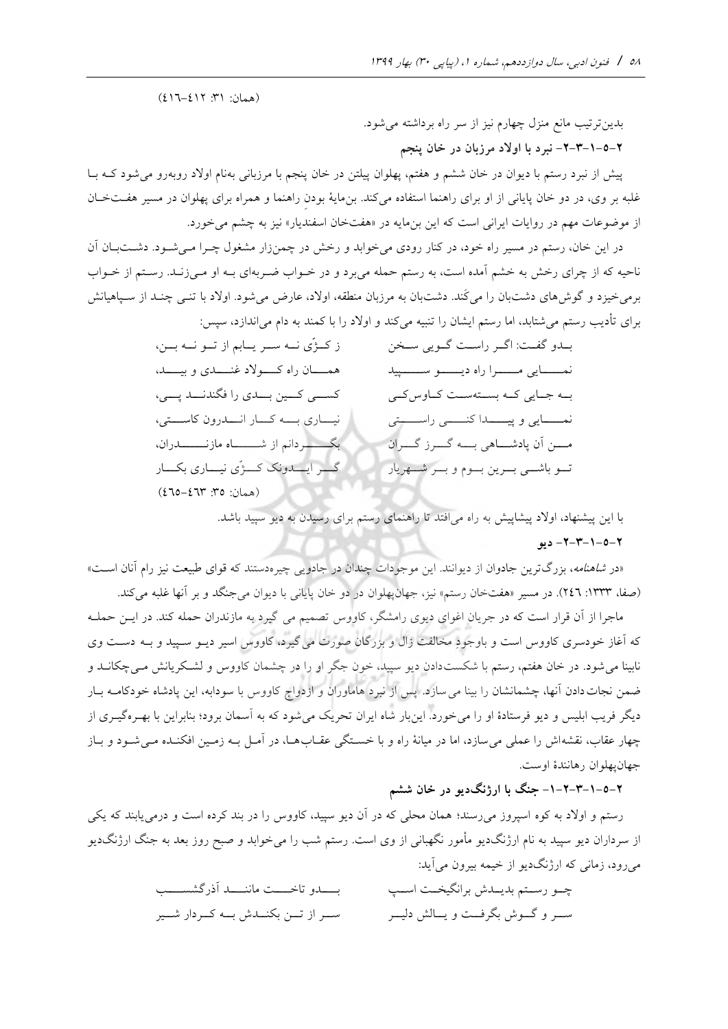(همان: ٣١: ٤١٢-١٤١٦)

بدینترتیب مانع منزل چهارم نیز از سر راه برداشته میشود.

**-2-3-1-5-2 نبرد با اوالد مرزبان در خان پنجم**

پیش از نبرد رستم با دیوان در خان ششم و هفتم، پهلوان پیلتن در خان پنجم با مرزبانی بهنام اولاد روبهرو میشود كـه بـا غلبه بر وي، در دو خان پایانی از او براي راهنما استفاده میكند. بنمایۀ بودنِ راهنما و همراه براي پهلوان در مسیر هفتت ختان از موضوعات مهم در روایات ایرانی است كه این بنمایه در «هفتخان اسفندیار» نیز به چشم میخورد.

در این خان، رستم در مسیر راه خود، در كنار رودي می خوابد و رخش در چمنزار مشغول چـرا مـی شـود. دشــتبــان آن ناحیه كه از چراي رخش به خشم آمده است، به رستم حمله میبرد و در خـواب ضـربهاي بــه او مـیزنــد. رسـتم از خــواب برمیخیزد و گوش های دشتبان را میكند. دشتبان به مرزبان منطقه، اولاد[، ع](https://fa.wikipedia.org/w/index.php?title=%D8%A7%D9%88%D9%84%D8%A7%D8%AF_%D8%AF%D8%B1_%D8%B4%D8%A7%D9%87%D9%86%D8%A7%D9%85%D9%87&action=edit&redlink=1)ارض می شود. اولاد با تنـی چنـد از سـپاهیانش براي تأدیب رستم میشتابد، اما رستم ایشان را تنبیه میكند و اورد را با كمند به دام میاندازد، سپس:

> بتدو گفت: اگتر راست گتویی ستخن نمتـــــایی مـــــــرا راه دیـــــــو ســـــــــیید بـه جـایی كـه بسـتهسـت كـاوس كـی نمتتتتتایی و پیتتتتتدا كنتتتتتی راستتتتتتی متتتن آن پادشتتتاهی بتتته گتتترز گتتتران تتتو باشتتی بتترین بتتوم و بتتر شتتهریار ز كتتژّي نتته ستتر یتتابم از تتتو نتته بتتن، همسان راه كسولاد غنستدي و بیست. كستی كتين بتتدی را فگندنتتد پتتی، نیساری بسه كسار انسدرون كاستتی، بگتتتتتتردانم از شتتتتتتاه مازنتتتتتتدران، گـــر ایــــدونک کــــژّي نیــــاري بکــــار  $(270 - 271$  . 07: 10

> > با این پیشنهاد، اورد پیشاپی به راه میافتد تا راهنماي رستم براي رسیدن به دیو سپید باشد.

## **-2-3-1-5-2 دیو**

«در *شاهنامه*، بزرگترین جادوان از دیوانند. این موجودات چندان در جادویی چیرهدستند كه قواي طبیعت نیز رام آنان اسـت» (صفا، ١٣٣٣: ٢٤٦). در مسیر «هفتخان رستم» نیز، جهانپهلوان در دو خان پایانی با دیوان میجنگد و بر آنها غلبه میكند.

ماجرا از آن قرار است كه در جریان اغوای دیوی رامشگر، كاووس تصمیم می گیرد به مازندران حمله كند. در ایــن حملــه كه آغاز خودسری كاووس است و باوجودِ مخالفت زال و بزرگان صورت می گیرد، كاووس اسیر دیــو ســپید و بــه دســت وی .<br>نابینا می شود. در خان هفتم، رستم با شکستدادن دیو سپید، خون جگر او را در چشمان کاووس و لشـکریانش مـی چکانــد و ضمن نجات دادن آنها، چشمانشان را بینا می سازد. پس از نبرد هاماوران و ازدواج كاووس با سودابه، این پادشاه خودكامــه بــار دیگر فریب ابلیس و دیو فرستادۀ او را می خورد. این بار شاه ایران تحریک می شود كه به آسمان برود؛ بنابراین با بهتره گیتری از چهار عقاب، نقشه اش را عملی می سازد، اما در میانۀ راه و با خستگی عقـابهـا، در آمـل بـه زمـین افکنـده مـی شـود و بـاز جهان يهلوان رهانندۀ اوست.

**-1-2-3-1-5-2 جنگ با ارژنگدیو در خان ششم**

رستم و اولاد ب[ه](https://fa.wikipedia.org/w/index.php?title=%DA%A9%D9%88%D9%87_%D8%A7%D8%B3%D9%BE%D8%B1%D9%88%D8%B2&action=edit&redlink=1) كوه [اسپروز](https://fa.wikipedia.org/w/index.php?title=%DA%A9%D9%88%D9%87_%D8%A7%D8%B3%D9%BE%D8%B1%D9%88%D8%B2&action=edit&redlink=1) می رسند؛ همان محلی كه در آن دیو سپید، كاووس را در بند كرده است و درمی یابند كه یكی از سرداران دیو سپید به نام ارژنگدیو مأمور نگهبانی از وي است. رستم شب را میخوابد و صبح روز بعد به جنگ ارژنگدیو میرود، زمانی كه ارژنگدیو از خیمه بیرون میآید:

| بسسدو تاخمست ماننسسد أذرگشسسسب          | چــو رســتم بديــدش برانگيخــت اســپ      |
|-----------------------------------------|-------------------------------------------|
| ســر از تــن بكنــدش بــه كــردار شــير | ســـر و گـــوش بگرفـــت و يـــالش دليـــر |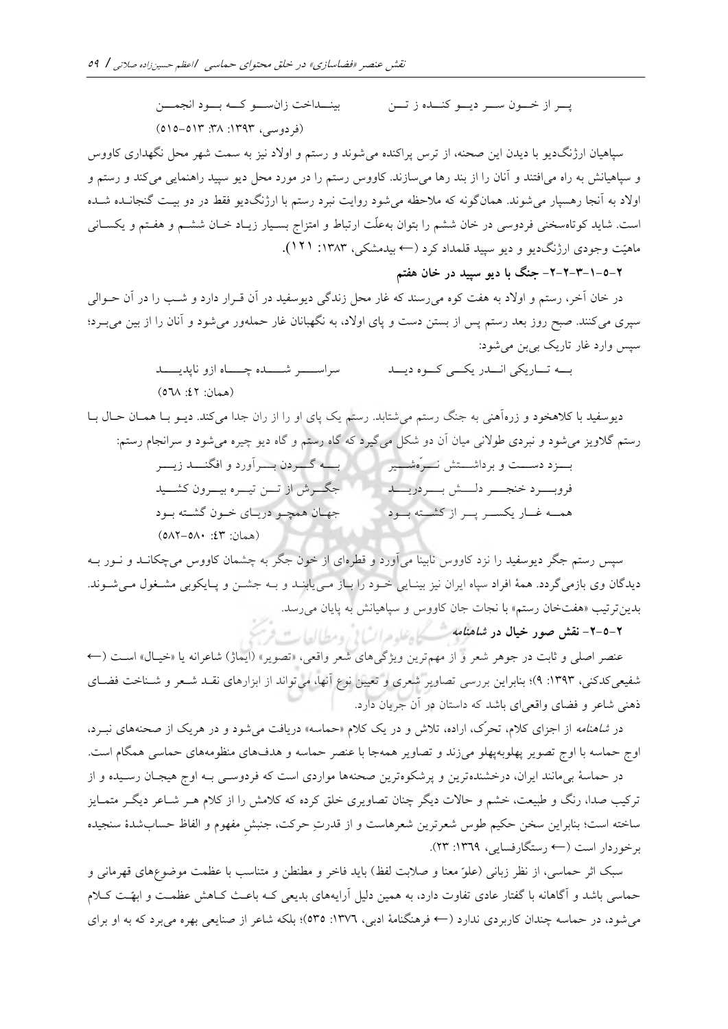پتتر از ختتون ستتر دیتتو كنتتده ز تتتن بینتتداخت زانستتو كتته بتتود انجمتتتن )فردوسی، :1393 :38 515-513(

سپاهیان ارژنگدیو با دیدن این صحنه، از ترس پراكنده میشوند و رستم و اولاد نیز به سمت شهر محل نگهداری كاووس و سپاهیانش به راه می|فتند و آنان را از بند رها میسازند. كاووس رستم را در مورد محل دیو سپید راهنمایی میكند و رستم و اولاد به آنجا رهسپار می شوند. همان گونه كه ملاحظه می شود روایت نبرد رستم با ارژنگ دیو فقط در دو بیت گنجانـده شـده است. شاید کوتاهسخنی فردوسی در خان ششم را بتوان بهعلّت ارتباط و امتزاج بسـیار زیـاد خـان ششـم و هفـتم و یکسـانی ماهیّت وجودی ارژنگ دیو و دیو سپید قلمداد كرد (← بیدمشكی، ۱۳۸۳: ۱۲۱).

# **-2-2-3-1-5-2 جنگ با دیو سپید در خان هفتم**

در خان آخر، رستم و اورد به هفت كوه میرسند كه غار محل زندگی دیوسفید در آن قترار دارد و شتب را در آن حتوالی سپری میکنند. صبح روز بعد رستم پس از بستن دست و پای اولاد، به نگهبانان غار حملهور میشود و آنان را از بین میبـرد؛ سپس وارد غار تاریک بیبن میشود:

> بته تتاریکی انتتدر یکتی كتوه دیتتد سراستتر شتتتده چتتاه ازو ناپدیتت (همان: ٤٢: ٥٦٨)

دیوسفید با كالهطود و زرهآهنی به جنگ رستم میشتابد. رستم یک پاي او را از ران جدا میكند. دیتو بتا همتان حتال بتا رستم گلاویز می شود و نبردی طولانی میان آن دو شکل میگیرد كه گاه رستم و گاه دیو چیره می شود و سرانجام رستم: بتتتزد دستتتت و برداشتتتت نتتترّه شتتتیر فروبتتترد خنجتتتر دلتتت بتتتر دریتتتد همته غتار یکستر پتر از كشتته بتود بتتته گتتتردن بتتترآورد و افگنتتتد زیتتتر جگتترش از تتتن تیتتره بیتترون كشتتید جهتان همچتو دریتاي ختون گشتته بتود (همان: ٤٣: ٥٨٢-٥٨٢)

سپس رستم جگر دیوسفید را نزد كاووس نابینا میآورد و قطرهاي از خون جگر به چشمان كاووس میچکانتد و نتور بته دیدگان وی بازمیگردد. همۀ افراد سپاه ایران نیز بینـایی خـود را بـاز مـییابنــد و بــه جشــن و پــایکوبی مشــغول مــیشــوند. بدین ترتیب «هفتخان رستم» با نجات جان كاووس و سپاهیانش به پایان می رسد.

**-2-5-2 نقش صور خیال در شاهنامه**

عنصر اصلی و ثابت در جوهر شعر و از مهم ترین ویژگی۵ای شعر واقعی، «تصویر» (ایماژ) شاعرانه یا «خیـال» اســت (← شفیعی كدكنی، ۱۳۹۳: ۹)؛ بنابراین بررسی تصاویر شعری و تعیین نوع آنها، میتواند از ابزارهای نقـد شـعر و شـناخت فضـای ذهنی شاعر و فضاي واقعیاي باشد كه داستان در آن جریان دارد.

در *شاهنامه* از اجزاي كلام، تحرّک، اراده، تلاش و در یک كلام «حماسه» دریافت می شود و در هریک از صحنههاي نبـرد، اوج حماسه با اوج تصویر پهلوبهپهلو میزند و تصاویر همهجا با عنصر حماسه و هدفهای منظومههای حماسی همگام است.

در حماسۀ بیمانند ایران، درخشندهترین و پرشکوهترین صحنهها مواردی است كه فردوسـی بـه اوج هیجـان رسـیده و از تركیب صدا، رنگ و طبیعت، خشم و حالات دیگر چنان تصاویری خلق كرده كه كلامش را از كلام هـر شــاعر دیگـر متمــایز ساخته است؛ بنابراین سخن حکیم طوس شعرترین شعرهاست و از قدرتِ حرکت، جنبش مفهوم و الفاظ حساب شدۀ سنجیده برخوردار است )← رستگارفسایی، :1369 23(.

سبک اثر حماسی، از نظر زبانی (علوّ معنا و صلابت لفظ) باید فاخر و مطنطن و متناسب با عظمت موضوعهای قهرمانی و حماسی باشد و آگاهانه با گفتار عادی تفاوت دارد، به همین دلیل آرایههای بدیعی كـه باعـث كـاهش عظمـت و ابهّـت كـلام میشود، در حماسه چندان كاربردي ندارد )← فرهنگنامۀ ادبی، :1376 535(؛ بلکه شاعر از صنایعی بهره میبرد كه به او براي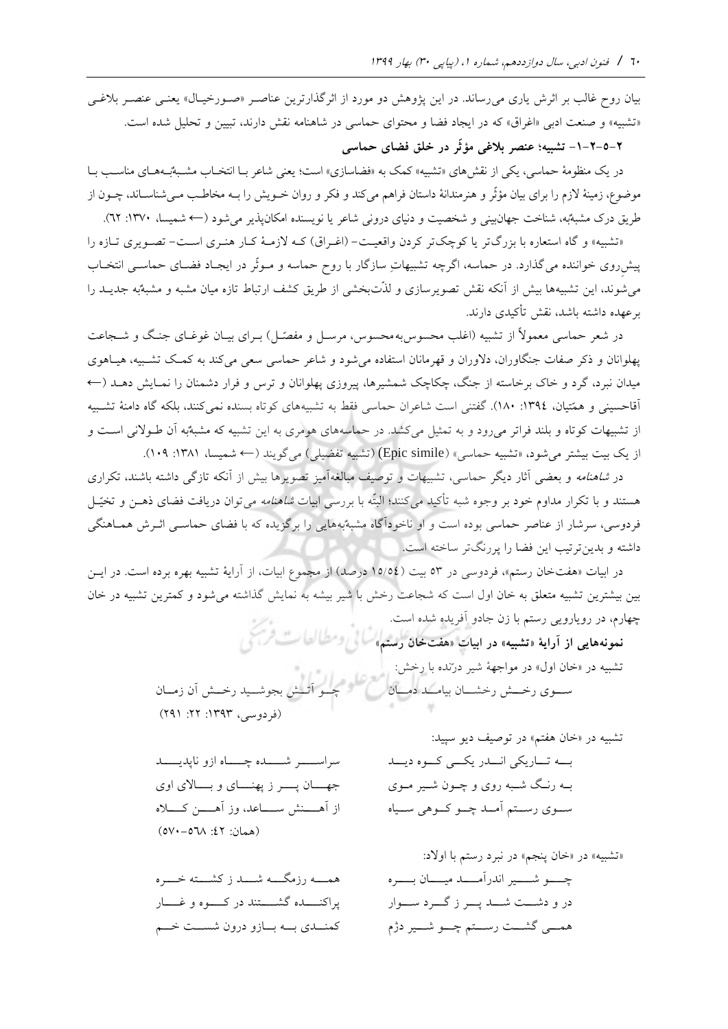بیان روح غالب بر اثرش یاری می رساند. در این پژوهش دو مورد از اثرگذارترین عناصـر «صـورخیـال» یعنـی عنصـر بلاغـی «تشبیه» و صنعت ادبی «اغراق» كه در ایجاد فضا و محتوای حماسی در شاهنامه نقش دارند، تبیین و تحلیل شده است.

**-1-2-5-2 تشبیه؛ عنصر بالغی مؤثّر در خلق فضای حماسی**

در یک منظومۀ حماسی، یکی از نقش های «تشبیه» کمک به «فضاسازی» است؛ یعنی شاعر بـا انتخـاب مشـبهٌبـههـای مناسـب بـا موضوع، زمینۀ لازم را برای بیان مؤثّر و هنرمندانۀ داستان فراهم میكند و فكر و روان خــویش را بــه مخاطـب مــیشناســاند، چــون از طریق درک مشبه به، شناخت جهانبینی و شخصیت و دنیای درونی شاعر یا نویسنده امکان پذیر می شود (← شمیسا، ١٣٧٠: ٦٢).

«تشبیه» و گاه استعاره با بزرگتر یا كوچکتر كردن واقعیت– (اغـراق) كـه لازمـهٔ كـار هنـري اسـت– تصـویري تـازه را پیش روی خواننده می گذارد. در حماسه، اگرچه تشبیهاتِ سازگار با روح حماسه و مـوثّر در ایجـاد فضـای حماسـی انتخـاب می شوند، این تشبیهها بیش از آنکه نقش تصویرسازی و لذّتبخشی از طریق کشف ارتباط تازه میان مشبه و مشبهٌبه جدیــد را برعهده داشته باشد، نقش تأكیدي دارند.

در شعر حماسی معمولاً از تشبیه (اغلب محسوس به محسوس، مرسـل و مفصّـل) بــراي بيــان غوغــاي جنــگ و شـــجاعت پهلوانان و ذكر صفات جنگاوران، دلاوران و قهرمانان استفاده می شود و شاعر حماسی سعی می كند به كمك تشـبیه، هیـاهوی میدان نبرد، گرد و خاک برخاسته از جنگ، چکاچک شمشیرها، پیروزی پهلوانان و ترس و فرار دشمنان را نمـایش دهــد (← آقاحسینی و همّتیان، :1394 180(. گفتنی است شاعران حماسی فقط به تشبیههاي كوتاه بسنده نمیكنند، بلکه گاه دامنۀ تشتبیه از تشبیهات كوتاه و بلند فراتر می رود و به تمثیل میكشد. در حماسههای هومری به این تشبیه كه مشبه به آن طـولانی اسـت و از یک بیت بیشتر میشود، «تشبیه حماسی» (Epic simile) (تشبیه تفضیلی) میگویند (← شمیسا، ۱۳۸۱: ۱۰۹).

در *شاهنامه و بعضی آثار دیگر حماسی، تشبیهات و توصیف مبالغهآمی*ز تصویرها بیش از آنکه تازگی داشته باشند، تکراری هستند و با تکرار مداوم خود بر وجوه شبه تأکید میکنند؛ البتّه با بررسی ابیات *شاهنامه می ت*وان دریافت فضای ذهــن و تخیّـل فردوسی، سرشار از عناصر حماسی بوده است و او ناخودآگاه مشبه بههایی را برگزیده كه با فضای حماسـی اثـرش همـاهنگی داشته و بدین ترتیب این فضا را پررنگتر ساخته است.

در ابیات «هفتخان رستم»، فردوسی در ٥٣ بیت (١٥/٥٤ درصد) از مجموع ابیات، از آرایۀ تشبیه بهره برده است. در ایـن بین بیشترین تشبیه متعلق به خان اول است كه شجاعت رخش با شیر بیشه به نمایش گذاشته می شود و كمترین تشبیه در خان چهارم، در رویارویی رستم با زن جادو آفریده شده است.

**تشبیه»هایی از آرایة نمونه « «خان رستم هفت»در ابیات**  تشبیه در «خان اول» در مواجهۀ شیر درّنده با رخش: ستوي رختش رخشتان بیامتد دمتان پستيد رخت رختش آن زمتان (فردوسی، ۱۳۹۳: ۲۲: ۲۹۱)

سراستتتتر شتتتتده چتتتتاه ازو ناپدیتتتتد جهـــان پـــــر ز پهنـــــاي و بـــــالاي اوي از آهتتتن ستتتاعد، وز آهتتتن كتتتاله (همان: ٤٢: ٥٧٠-٥٧٠)

همـــــه رزمگـــــه شــــــد ز كشــــته خـــــره پراكنتتتتده گشتتتتتند در كتتتتوه و غتتتتار كمنتدى بته بتازو درون شستت ختم

تشبیه در «خان هفتم» در توصیف دیو سپید: بتته تتتاریکی انتتدر یکتتی كتتوه دیتتد بته رنتگ شتبه روي و چتون شتیر متوي ستتوي رستتتم آمتتد چتتو كتتوهی ستتیاه

«تشبیه» در «خان پنجم» در نبرد رستم با اولاد: چتتتتو شتتتتیر اندرآمتتتتد میتتتتان بتتتتره در و دشتتت شتتتد پتتتر ز گتتترد ستتتوار همتتی گشتتت رستتتم چتتو شتتیر دژم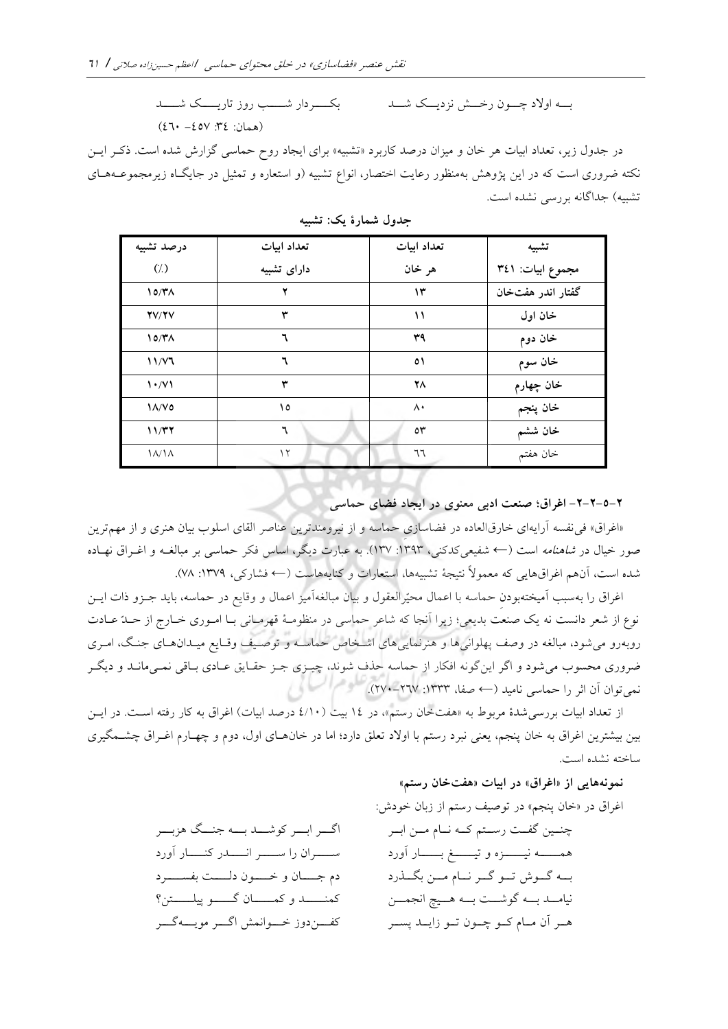بتته اورد چتتون رختت نزدیتتک شتتد بکتتتتردار شتتتتب روز تاریتتتتک شتتتتد )همان: :34 -457 460(

در جدول زیر، تعداد ابیات هر خان و میزان درصد كاربرد « تشبیه» براي ایجاد روح حماسی گزارش شده است. ذكتر ایتن نکته ضروری است که در این پژوهش بهمنظور رعایت اختصار، انواع تشبیه (و استعاره و تمثیل در جایگـاه زیرمجموعــههـای تشبیه) جداگانه بررسی نشده است.

| درصد تشبيه                      | تعداد ابيات | تعداد ابيات  | تشبيه             |
|---------------------------------|-------------|--------------|-------------------|
| $\left(\frac{7}{2}\right)$      | دارای تشبیه | هر خان       | مجموع ابيات: ٣٤١  |
| 10/T <sub>A</sub>               |             | ۱۳           | گفتار اندر هفتخان |
| YV/Y                            | ٣           | ۱۱           | خان اول           |
| 10/T <sub>A</sub>               | ٦           | ۳۹           | خان دوم           |
| 11/Y                            | ٦           | $\circ$      | خان سوم           |
| $\mathcal{N} \cdot \mathcal{N}$ | ۳           | ۲٨           | خان چهارم         |
| $\lambda/\nu$                   | ۱٥          | ٨٠           | خان پنجم          |
| 11/T7                           | ٦           | $\circ \tau$ | خان ششم           |
| $\lambda/\lambda$               | ۱۲          | ٦٦           | خان هفتم          |

**جدول شمارۀ یک: تشبیه**

**-2-2-5-2 اغراق؛ صنعت ادبی معنوی در ایجاد فضای حماسی**

«اغراق» فی نفسه آرایهای خارقالعاده در فضاسازی حماسه و از نیرومندترین عناصر القای اسلوب بیان هنری و از مهم ترین صور خیال در *شاهنامه* است (← شفیعی كدكنی، ۱۳۹۳: ۱۳۷). به عبارت دیگر، اساس فكر حماسی بر مبالغــه و اغــراق نهــاده شده است، آنهم اغراقهایی كه معمولاً نتیجۀ تشبیهها، استعارات و كنایههاست (← فشاركی، ١٣٧٩: ٧٨).

اغراق را بهسبب آمیختهبودن حماسه با اعمال محیّرالعقول و بیان مبالغهآمیز اعمال و وقایع در حماسه، باید جــزو ذات ایــن نوع از شعر دانست نه یک صنعت بدیعی؛ زیرا آنجا كه شاعر حماسی در منظومتۀ قهرمتانی بتا امتوري ختارج از حتدّ عتادت روبهرو می شود، مبالغه در وصف پهلوانی ها و هنرنمایی های اشتخاص حماسـه و توصـیف وقـایع میـدان هـای جنـگ، امـری ضروري محسوب می شود و اگر این گونه افکار از حماسه حذف شوند، چیـزی جـز حقـایق عـادی بـاقی نمـیمانـد و دیگـر نمیتوان آن اثر را حماسی نامید )← صفا، :1333 270-267(.

از تعداد ابیات بررسی شدۀ مربوط به «هفتخان رستم»، در ١٤ بیت (٤/١٠ درصد ابیات) اغراق به كار رفته است. در ایــن بین بیشترین اغراق به خان پنجم، یعنی نبرد رستم با اولاد تعلق دارد؛ اما در خانهـاي اول، دوم و چهـارم اغـراق چشــمگیري ساخته نشده است.

#### **اغراق»هایی از نمونه « «خان رستم هفت»در ابیات**

« خان پنجم»اغراق در در توصید رستم از زبان خودش: چنتتین گفتتت رستتتم كتته نتتام متتن ابتتر همتتتتته نیتتتتتزه و تیتتتتت بتتتتتار آورد بتته گتتوش تتتو گتتر نتتام متتن بگتت رد نیامتتد بتته گوشتتت بتته هتتیچ انجمتتن هتتر آن متتام كتتو چتتون تتتو زایتتد پستتر اگتتتر ابتتتر كوشتتتد بتتته جنتتتگ هزبتتتر ستتتتران را ستتتتر انتتتتدر كنتتتتار آورد دم جتتتتان و ختتتتون دلتتتتت بفستتتترد كمنتتتتتد و كمتتتتتان گتتتتتو پیلتتتتتتن كفتتتندوز ختتتوانم اگتتتر مویتتته گتتتر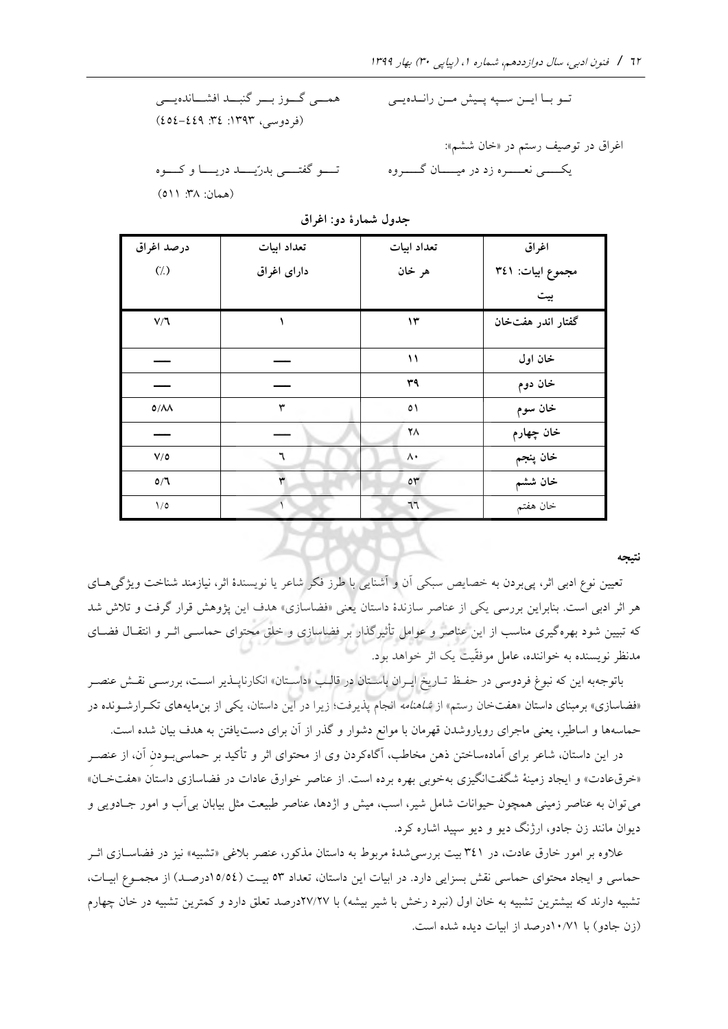تتتو بتتا ایتتن ستتپه پتتی متتن رانتتده یتتی همتتی گتتوز بتتر گنبتتد افشتتانده یتتی )فردوسی، :1393 :34 454-449( اغراق در توصید رستم در خان ششم» «: یکتتتتی نعتتتتره زد در میتتتتان گتتتتروه تتتتو گفتتتتی بدرّیتتتد دریتتتا و كتتتوه )همان: :38 511(

| - -                |             |               |                   |  |  |
|--------------------|-------------|---------------|-------------------|--|--|
| درصد اغراق         | تعداد ابيات | تعداد ابيات   | اغراق             |  |  |
| $(\frac{1}{2})$    | دارای اغراق | هر خان        | مجموع ابيات: ٣٤١  |  |  |
|                    |             |               | بيت               |  |  |
| $V/\mathbb{I}$     |             | ۱۳            | گفتار اندر هفتخان |  |  |
|                    |             |               |                   |  |  |
|                    |             | $\mathcal{N}$ | خان اول           |  |  |
|                    |             | ٣٩            | خان دوم           |  |  |
| $0/\Lambda\Lambda$ | ٣           | $\circ$       | خان سوم           |  |  |
|                    |             | ۲٨            | خان چهارم         |  |  |
| $V/\Omega$         | ٦           | ۸۰            | خان پنجم          |  |  |
| O/T                | ٣           | $\circ \tau$  | خان ششم           |  |  |
| $1/\circ$          |             | 77            | خان هفتم          |  |  |

**جدول شمارۀ دو: اغراق**

 **نتیجه**

تعیین نوع ادبی اثر، پیبردن به خصایص سبکی آن و آشنایی با طرز فکر شاعر یا نویسندۀ اثر، نیازمند شناخت ویژگی،ای هر اثر ادبی است. بنابراین بررسی یکی از عناصر سازندۀ داستان یعنی «فضاسازی» هدف این پژوهش قرار گرفت و تلاش شد كه تبیین شود بهرهگیری مناسب از این عناصر و عوامل تأثیرگذار بر فضاسازي و خلق محتواي حماســي اثــر و انتقــال فضــاي مدنظر نویسنده به خواننده، عامل موفقّیت یک اثر خواهد بود.

باتوجهبه این كه نبوغ فردوسی در حفـظ تـاریخ ایـران باسـتان در قالـب «داسـتان» انكارناپــذیر اسـت، بررســی نقــش عنصـر «فضاسازی» برمبنای داستان «هفتخان رستم» از *شاهنامه* انجام پذیرفت؛ زیرا در این داستان، یکی از بنمایههای تک رارشـونده در حماسهها و اساطیر، یعنی ماجرای رویاروشدن قهرمان با موانع دشوار و گذر از آن برای دست یافتن به هدف بیان شده است.

در این داستان، شاعر برای آمادهساختن ذهن مخاطب، آگاهكردن وي از محتواي اثر و تأكید بر حماسی بودن آن، از عنصـر «خرقءادت» و ایجاد زمینۀ شگفتانگیزي به خوبی بهره برده است. از عناصر خوارق عادات در فضاسازي داستان «هفتخـان» می توان به عناصر زمینی همچون حیوانات شامل شیر، اسب، میش و اژدها، عناصر طبیعت مثل بیابان بی آب و امور جـادویی و دیوان مانند زن جادو، ارژنگ دیو و دیو سپید اشاره كرد.

علاوه بر امور خارق عادت، در ۳٤۱ بیت بررسی شدۀ مربوط به داستان مذكور، عنصر بلاغی «تشبیه» نیز در فضاســازی اثــر حماسی و ایجاد محتوای حماسی نقش بسزایی دارد. در ابیات این داستان، تعداد ٥٣ بیت (١٥/٥٤درصـد) از مجمـوع ابیـات، تشبیه دارند كه بیشترین تشبیه به خان اول (نبرد رخش با شیر بیشه) با ۲۷/۲۷درصد تعلق دارد و كمترین تشبیه در خان چهارم )زن جادو( با 10/71درصد از ابیات دیده شده است.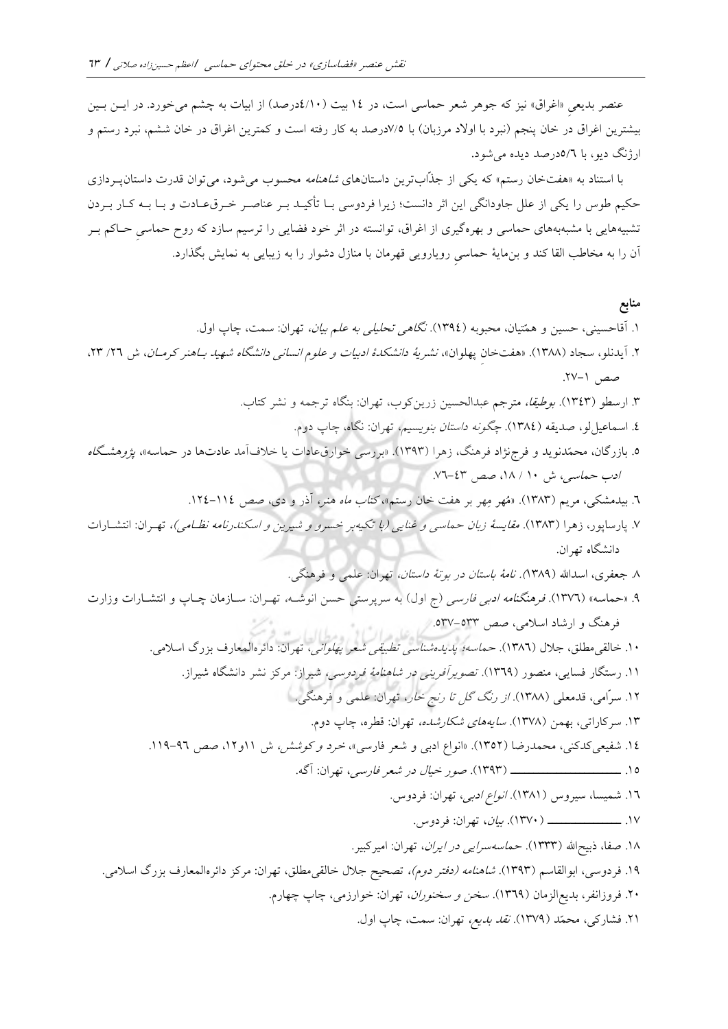عنصر بدیعی «اغراق» نیز كه جوهر شعر حماسی است، در ١٤ بیت (١٠/٤درصد) از ابیات به چشم میخورد. در ایــن بــین بیشترین اغراق در خان پنجم )نبرد با اورد مرزبان( با 7/5درصد به كار رفته است و كمترین اغراق در خان ششم، نبرد رستم و ارژنگ دیو، با 5**/**6درصد دیده میشود**.**

با استناد به «هفتخان رستم» كه یكی از جذّابترین داستانهای *شاهنامه* محسوب می شود، می توان قدرت داستانپـردازی حکیم طوس را یکی از علل جاودانگی این اثر دانست؛ زیرا فردوسی بـا تأکیــد بــر عناصــر خــرق،عــادت و بــا بــه کــار بــردن به هایی با مشبه تشبیه هاي حماسی و بهرهگیري از اغراق، توانسته در اثر خود فضایی را ترسیم سازد كه روح حماسیِ حتاكم بتر آن را به مخاطب القا كند و بنِمایۀ حماسیِ رویارویی قهرمان با منازل دشوار را به زیبایی به نمایش بگذارد.

**منابع**  .1 آقاحسینی، حسین و همّتیان، محبوبه )1394(. نگاهی تحلیلی به علم بیان، تهران: سمت، چاپ اول. .2 آیدنلو، سجاد )1388(. »هفتخانِ پهلوان«، نشریۀ دانشکدۀ ادبیات و علوم انسانی دانشگاه شهید بتاهنر كرمتان ، ش /26 ،23 صد .27-1 .3 ارسطو )1343(. بو یقا، مترجم عبدالحسین زرینكوب، تهران: بنگاه ترجمه و نشر كتاب. .4 اسماعیللو، صدیقه )1384(. چگونه داستان بنویسیم، تهران: نگاه، چاپ دوم. .5 بازرگان، محمّدنوید و فرجنژاد فرهنگ، زهرا )1393(. »بررسی خوارقعادات یا خالفآمد عادتها در حماسه«، پژوهشتگاه ادب حماسی، ش 10 / ،18 صد .76-43 .6 بیدمشکی، مریم )1383(. »مُهر مِهر بر هفت خان رستم«، كتاب ماه هنر، آذر و دي، صد .124-114 .7 پارساپور، زهرا )1383(. مقایسۀ زبان حماسی و غنایی )با تکیهبر خسرو و شیرین و اسکندرنامه نظتامی(، تهترا ن: انتشتارات دانشگاه تهران. .8 جعفري، اسداهلل )1389(. نامۀ باستان در بوتۀ داستان، تهران: علمی و فرهنگی. .9 »حماسه« )1376(. فرهنگنامه ادبی فارسی )ج اول( به سرپرستی حسن انوشته ، تهتران: ستازمان چتاپ و انتشتارات وزارت فرهنگ و ارشاد اسالمی، صد .537-533 .10 خالقیمطلق، جالل )1386(. حماسه؛ پدیدهشناسی تطبیقی شعر پهلوانی، تهران: دائرهالمعارف بزرگ اسالمی. .11 رستگار فسایی، منصور )1369(. تصویرآفرینی در شاهنامۀ فردوسی، شیراز: مركز نشر دانشگاه شیراز. .12 سرّامی، قدمعلی )1388(. از رنگ گل تا رنج خار، تهران: علمی و فرهنگی. .13 سركاراتی، بهمن )1378(. سایههاي شکارشده، تهران: قطره، چاپ دوم. .14 شفیعیكدكنی، محمدرضا )1352(. »انواع ادبی و شعر فارسی«، خرد و كوش ، ش 11و،12 صد .119-96 .15 تتتتتتتتتتتتتتتتتتتتتتتت )1393(. صور خیال در شعر فارسی، تهران: آگه. .16 شمیسا، سیروس )1381(. انواع ادبی، تهران: فردوس. .17 تتتتتتتتتتتتتتتت )1370(. بیان**،** تهران: فردوس. .18 صفا، ذبیحاهلل )1333(. حماسهسرایی در ایران، تهران: امیركبیر. .19 فردوسی، ابوالقاسم )1393(. شاهنامه )دفتر دوم(، تصحیح جالل خالقیمطلق، تهران: مركز دائرهالمعارف بزرگ اسالمی. .20 فروزانفر، بدیعالزمان )1369(. سطن و سطنوران، تهران: خوارزمی، چاپ چهارم. .21 فشاركی، محمّد )1379(. نقد بدیع، تهران: سمت، چاپ اول.